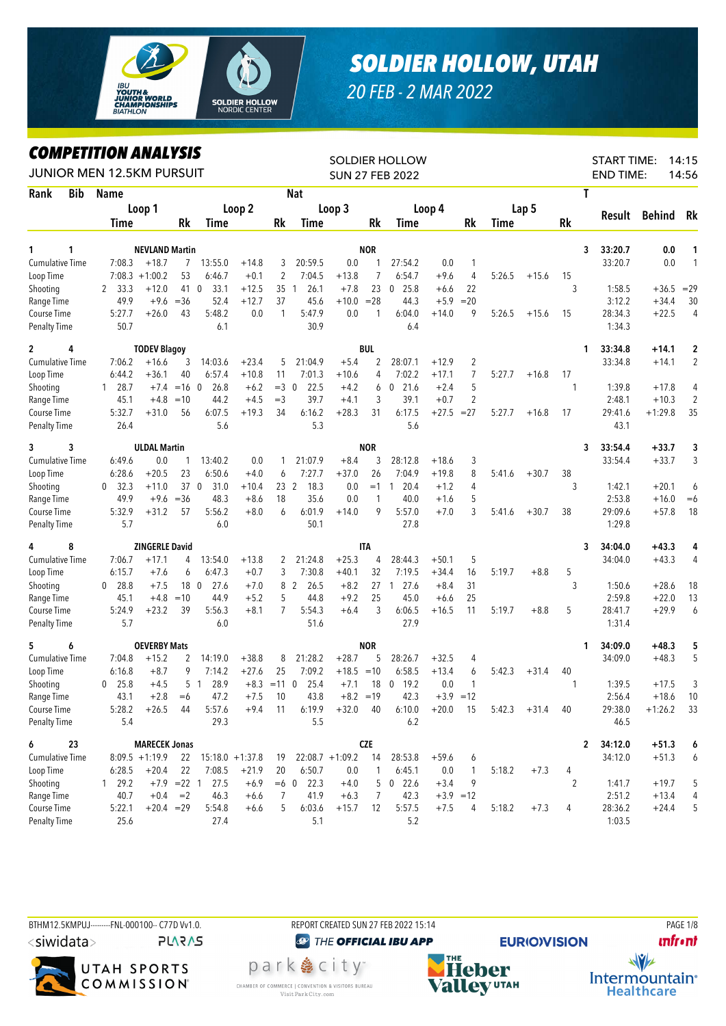

## *SOLDIER HOLLOW, UTAH*

*20 FEB - 2 MAR 2022*

## *COMPETITION ANALYSIS*

| LUMPEIIIIUN ANALISIS<br>JUNIOR MEN 12.5KM PURSUIT |                      |                       |                |                         |         |                 |                |                   |                | <b>SOLDIER HOLLOW</b><br><b>SUN 27 FEB 2022</b> |             |                |             |         |           | <b>START TIME:</b><br><b>END TIME:</b> |           | 14:15<br>14:56 |
|---------------------------------------------------|----------------------|-----------------------|----------------|-------------------------|---------|-----------------|----------------|-------------------|----------------|-------------------------------------------------|-------------|----------------|-------------|---------|-----------|----------------------------------------|-----------|----------------|
| Rank<br><b>Bib</b>                                | <b>Name</b>          |                       |                |                         |         |                 | <b>Nat</b>     |                   |                |                                                 |             |                |             |         |           | T                                      |           |                |
|                                                   |                      | Loop 1                |                |                         | Loop 2  |                 |                | Loop 3            |                |                                                 | Loop 4      |                |             | Lap 5   |           |                                        |           |                |
|                                                   | Time                 |                       | Rk             | Time                    |         | Rk              | Time           |                   | Rk             | Time                                            |             | Rk             | <b>Time</b> |         | <b>Rk</b> | Result                                 | Behind    | Rk             |
|                                                   |                      |                       |                |                         |         |                 |                |                   |                |                                                 |             |                |             |         |           |                                        |           |                |
| 1<br>1                                            |                      | <b>NEVLAND Martin</b> |                |                         |         |                 |                |                   | <b>NOR</b>     |                                                 |             |                |             |         |           | 33:20.7<br>3                           | 0.0       | 1              |
| <b>Cumulative Time</b>                            | 7:08.3               | $+18.7$               | $\overline{7}$ | 13:55.0                 | $+14.8$ | 3               | 20:59.5        | 0.0               | 1              | 27:54.2                                         | 0.0         | 1              |             |         |           | 33:20.7                                | 0.0       | $\mathbf{1}$   |
| Loop Time                                         |                      | $7:08.3 +1:00.2$      | 53             | 6:46.7                  | $+0.1$  | 2               | 7:04.5         | $+13.8$           | 7              | 6:54.7                                          | $+9.6$      | $\overline{4}$ | 5:26.5      | $+15.6$ | 15        |                                        |           |                |
| Shooting                                          | 33.3<br>2            | $+12.0$               | 41 0           | 33.1                    | $+12.5$ | 35 1            | 26.1           | $+7.8$            | 23             | 25.8<br>$\mathbf{0}$                            | $+6.6$      | 22             |             |         | 3         | 1:58.5                                 | $+36.5$   | $=29$          |
| Range Time                                        | 49.9                 | $+9.6$                | $=$ 36         | 52.4                    | $+12.7$ | 37              | 45.6           | $+10.0$           | $= 28$         | 44.3                                            | $+5.9$      | $= 20$         |             |         |           | 3:12.2                                 | $+34.4$   | 30             |
| Course Time<br><b>Penalty Time</b>                | 5:27.7<br>50.7       | $+26.0$               | 43             | 5:48.2<br>6.1           | 0.0     | 1               | 5:47.9<br>30.9 | 0.0               | 1              | 6:04.0<br>6.4                                   | $+14.0$     | 9              | 5:26.5      | $+15.6$ | 15        | 28:34.3<br>1:34.3                      | $+22.5$   | 4              |
|                                                   |                      |                       |                |                         |         |                 |                |                   |                |                                                 |             |                |             |         |           |                                        |           |                |
| 4<br>$\mathbf{2}$                                 |                      | <b>TODEV Blagoy</b>   |                |                         |         |                 |                |                   | <b>BUL</b>     |                                                 |             |                |             |         |           | 33:34.8<br>1                           | $+14.1$   | 2              |
| <b>Cumulative Time</b>                            | 7:06.2               | $+16.6$               | 3              | 14:03.6                 | $+23.4$ | 5               | 21:04.9        | $+5.4$            | $\overline{2}$ | 28:07.1                                         | $+12.9$     | $\overline{2}$ |             |         |           | 33:34.8                                | $+14.1$   | 2              |
| Loop Time                                         | 6:44.2               | $+36.1$               | 40             | 6:57.4                  | $+10.8$ | 11              | 7:01.3         | $+10.6$           | 4              | 7:02.2                                          | $+17.1$     | 7              | 5:27.7      | $+16.8$ | 17        |                                        |           |                |
| Shooting                                          | 28.7<br>$\mathbf{1}$ | $+7.4$                | $=16$ 0        | 26.8                    | $+6.2$  | $=3$ 0          | 22.5           | $+4.2$            | 6              | $0$ 21.6                                        | $+2.4$      | 5              |             |         | 1         | 1:39.8                                 | +17.8     | 4              |
| Range Time                                        | 45.1                 | $+4.8$                | $=10$          | 44.2                    | $+4.5$  | $=$ 3           | 39.7           | $+4.1$            | 3              | 39.1                                            | $+0.7$      | $\overline{2}$ |             |         |           | 2:48.1                                 | $+10.3$   | $\overline{2}$ |
| Course Time                                       | 5:32.7               | $+31.0$               | 56             | 6:07.5                  | $+19.3$ | 34              | 6:16.2         | $+28.3$           | 31             | 6:17.5                                          | $+27.5$     | $= 27$         | 5:27.7      | $+16.8$ | 17        | 29:41.6                                | $+1:29.8$ | 35             |
| <b>Penalty Time</b>                               | 26.4                 |                       |                | 5.6                     |         |                 | 5.3            |                   |                | 5.6                                             |             |                |             |         |           | 43.1                                   |           |                |
| 3<br>3                                            |                      | <b>ULDAL Martin</b>   |                |                         |         |                 |                |                   | <b>NOR</b>     |                                                 |             |                |             |         |           | 33:54.4<br>3                           | $+33.7$   | 3              |
| Cumulative Time                                   | 6:49.6               | 0.0                   | 1              | 13:40.2                 | 0.0     | 1               | 21:07.9        | $+8.4$            | 3              | 28:12.8                                         | $+18.6$     | 3              |             |         |           | 33:54.4                                | $+33.7$   | 3              |
| Loop Time                                         | 6:28.6               | $+20.5$               | 23             | 6:50.6                  | $+4.0$  | 6               | 7:27.7         | $+37.0$           | 26             | 7:04.9                                          | $+19.8$     | 8              | 5:41.6      | $+30.7$ | 38        |                                        |           |                |
| Shooting                                          | 32.3<br>0            | $+11.0$               |                | 37 <sub>0</sub><br>31.0 | $+10.4$ | 23 <sub>2</sub> | 18.3           | 0.0               | $=1$           | 20.4<br>1                                       | $+1.2$      | $\overline{4}$ |             |         | 3         | 1:42.1                                 | $+20.1$   | 6              |
| Range Time                                        | 49.9                 | $+9.6$                | $= 36$         | 48.3                    | $+8.6$  | 18              | 35.6           | 0.0               | 1              | 40.0                                            | $+1.6$      | 5              |             |         |           | 2:53.8                                 | $+16.0$   | $=6$           |
| Course Time                                       | 5:32.9               | $+31.2$               | 57             | 5:56.2                  | $+8.0$  | 6               | 6:01.9         | $+14.0$           | 9              | 5:57.0                                          | $+7.0$      | 3              | 5:41.6      | $+30.7$ | 38        | 29:09.6                                | $+57.8$   | 18             |
| <b>Penalty Time</b>                               | 5.7                  |                       |                | 6.0                     |         |                 | 50.1           |                   |                | 27.8                                            |             |                |             |         |           | 1:29.8                                 |           |                |
| 8<br>4                                            |                      | <b>ZINGERLE David</b> |                |                         |         |                 |                |                   | <b>ITA</b>     |                                                 |             |                |             |         |           | 34:04.0<br>3                           | $+43.3$   | 4              |
| <b>Cumulative Time</b>                            | 7:06.7               | $+17.1$               | 4              | 13:54.0                 | $+13.8$ | 2               | 21:24.8        | $+25.3$           | 4              | 28:44.3                                         | $+50.1$     | 5              |             |         |           | 34:04.0                                | $+43.3$   | 4              |
| Loop Time                                         | 6:15.7               | $+7.6$                | 6              | 6:47.3                  | $+0.7$  | 3               | 7:30.8         | $+40.1$           | 32             | 7:19.5                                          | $+34.4$     | 16             | 5:19.7      | $+8.8$  | 5         |                                        |           |                |
| Shooting                                          | 28.8<br>0            | $+7.5$                |                | 27.6<br>18 0            | $+7.0$  |                 | 8 2<br>26.5    | $+8.2$            | 27             | 27.6<br>$\overline{1}$                          | $+8.4$      | 31             |             |         | 3         | 1:50.6                                 | $+28.6$   | 18             |
| Range Time                                        | 45.1                 | $+4.8$                | $=10$          | 44.9                    | $+5.2$  | 5               | 44.8           | $+9.2$            | 25             | 45.0                                            | $+6.6$      | 25             |             |         |           | 2:59.8                                 | $+22.0$   | 13             |
| Course Time                                       | 5:24.9               | $+23.2$               | 39             | 5:56.3                  | $+8.1$  | $\overline{7}$  | 5:54.3         | $+6.4$            | 3              | 6:06.5                                          | $+16.5$     | 11             | 5:19.7      | $+8.8$  | 5         | 28:41.7                                | $+29.9$   | 6              |
| <b>Penalty Time</b>                               | 5.7                  |                       |                | 6.0                     |         |                 | 51.6           |                   |                | 27.9                                            |             |                |             |         |           | 1:31.4                                 |           |                |
| 5<br>6                                            |                      | <b>OEVERBY Mats</b>   |                |                         |         |                 |                |                   | <b>NOR</b>     |                                                 |             |                |             |         |           | 34:09.0<br>1                           | $+48.3$   | 5              |
| Cumulative Time                                   | 7:04.8               | $+15.2$               | 2              | 14:19.0                 | $+38.8$ | 8               | 21:28.2        | $+28.7$           | 5              | 28:26.7                                         | $+32.5$     | 4              |             |         |           | 34:09.0                                | $+48.3$   | 5              |
| Loop Time                                         | 6:16.8               | $+8.7$                | 9              | 7:14.2                  | $+27.6$ | 25              | 7:09.2         | $+18.5 = 10$      |                | 6:58.5                                          | $+13.4$     | 6              | 5:42.3      | $+31.4$ | 40        |                                        |           |                |
| Shooting                                          | 25.8<br>$\mathbf{0}$ | $+4.5$                |                | 5 <sub>1</sub><br>28.9  |         | $+8.3 = 110$    | 25.4           | $+7.1$            | 18             | $\mathbf 0$<br>19.2                             | 0.0         | 1              |             |         |           | 1:39.5                                 | $+17.5$   | 3              |
| Range Time                                        | 43.1                 | $+2.8$                | $=6$           | 47.2                    | $+7.5$  | 10              | 43.8           | $+8.2 = 19$       |                | 42.3                                            | $+3.9 = 12$ |                |             |         |           | 2:56.4                                 | $+18.6$   | 10             |
| Course Time                                       | 5:28.2               | $+26.5$               | 44             | 5:57.6                  | $+9.4$  | 11              | 6:19.9         | $+32.0$           | 40             | 6:10.0                                          | $+20.0$     | 15             | 5:42.3      | $+31.4$ | 40        | 29:38.0                                | $+1:26.2$ | 33             |
| <b>Penalty Time</b>                               | 5.4                  |                       |                | 29.3                    |         |                 | 5.5            |                   |                | 6.2                                             |             |                |             |         |           | 46.5                                   |           |                |
| 6<br>23                                           |                      | <b>MARECEK Jonas</b>  |                |                         |         |                 |                |                   | <b>CZE</b>     |                                                 |             |                |             |         |           | 34:12.0<br>2                           | $+51.3$   | 6              |
| Cumulative Time                                   |                      |                       |                |                         |         |                 |                |                   |                | 28:53.8                                         |             |                |             |         |           |                                        |           |                |
|                                                   |                      | $8:09.5 +1:19.9$      |                | $22$ 15:18.0 +1:37.8    |         | 19              |                | $22:08.7 +1:09.2$ | 14             |                                                 | $+59.6$     | 6              |             |         |           | 34:12.0                                | $+51.3$   | 6              |
| Loop Time                                         | 6:28.5               | $+20.4$               | 22             | 7:08.5                  | $+21.9$ | 20              | 6:50.7         | 0.0               | 1              | 6:45.1                                          | 0.0         | 1              | 5:18.2      | $+7.3$  | 4         |                                        |           |                |
| Shooting                                          | 1 29.2               |                       | $+7.9$ = 22 1  | 27.5                    | $+6.9$  |                 | $=6$ 0 22.3    | $+4.0$            | 5              | $0$ 22.6                                        | $+3.4$      | 9              |             |         | 2         | 1:41.7                                 | $+19.7$   | 5              |
| Range Time                                        | 40.7                 | $+0.4$                | $=2$           | 46.3                    | $+6.6$  | 7               | 41.9           | $+6.3$            | 7              | 42.3                                            |             | $+3.9 = 12$    |             |         |           | 2:51.2                                 | $+13.4$   | 4              |
| Course Time                                       | 5:22.1               | $+20.4 = 29$          |                | 5:54.8                  | $+6.6$  | 5               | 6:03.6         | $+15.7$           | 12             | 5:57.5                                          | $+7.5$      | 4              | 5:18.2      | $+7.3$  | 4         | 28:36.2                                | $+24.4$   | 5              |
| <b>Penalty Time</b>                               | 25.6                 |                       |                | 27.4                    |         |                 | 5.1            |                   |                | 5.2                                             |             |                |             |         |           | 1:03.5                                 |           |                |

BTHM12.5KMPUJ--------FNL-000100-- C77D Vv1.0. REPORT CREATED SUN 27 FEB 2022 15:14 PAGE 1/8 <siwidata> **PLARAS** 



**@ THE OFFICIAL IBU APP** park 急 city<sup>®</sup>

CHAMBER OF COMMERCE | CONVENTION & VISITORS BUREAU Visit Park City.com



**unfront** 

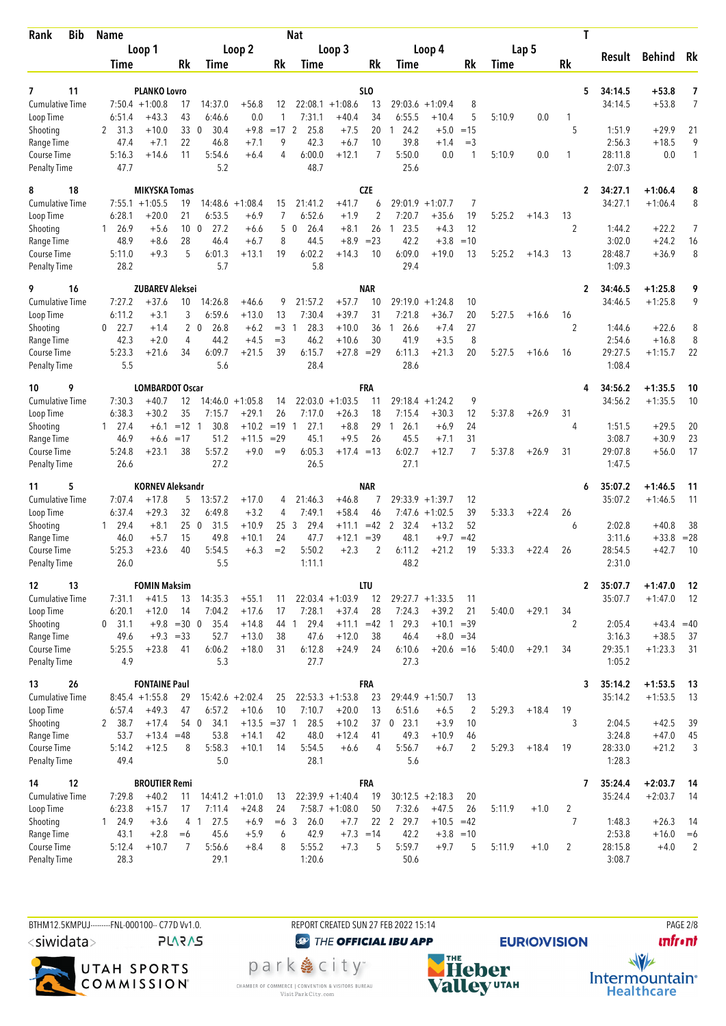| <b>Bib</b><br>Rank                  | <b>Name</b>          |                                         |                 |                                  |                              |             | <b>Nat</b>                       |                                        |                       |                                |                              |                |        |         |                     | T                       |                         |                     |
|-------------------------------------|----------------------|-----------------------------------------|-----------------|----------------------------------|------------------------------|-------------|----------------------------------|----------------------------------------|-----------------------|--------------------------------|------------------------------|----------------|--------|---------|---------------------|-------------------------|-------------------------|---------------------|
|                                     |                      | Loop 1                                  |                 |                                  | Loop 2                       |             |                                  | Loop 3                                 |                       |                                | Loop 4                       |                |        | Lap 5   |                     |                         |                         |                     |
|                                     | Time                 |                                         | Rk              | Time                             |                              | Rk          | Time                             |                                        | Rk                    | Time                           |                              | Rk             | Time   |         | Rk                  | Result                  | Behind Rk               |                     |
|                                     |                      |                                         |                 |                                  |                              |             |                                  |                                        |                       |                                |                              |                |        |         |                     |                         |                         |                     |
| 11<br>7<br><b>Cumulative Time</b>   |                      | <b>PLANKO Lovro</b><br>$7:50.4 +1:00.8$ |                 | 14:37.0                          | $+56.8$                      |             |                                  | $22:08.1 + 1:08.6$                     | SL <sub>0</sub><br>13 | 29:03.6                        |                              |                |        |         |                     | 5<br>34:14.5<br>34:14.5 | +53.8<br>$+53.8$        | 7<br>$\overline{7}$ |
| Loop Time                           | 6:51.4               | $+43.3$                                 | 17<br>43        | 6:46.6                           | 0.0                          | 12<br>1     | 7:31.1                           | $+40.4$                                | 34                    | 6:55.5                         | $+1:09.4$<br>$+10.4$         | 8<br>5         | 5:10.9 | 0.0     | 1                   |                         |                         |                     |
| Shooting                            | 2 31.3               | $+10.0$                                 | 33              | $\overline{0}$<br>30.4           | $+9.8$                       | $=17$ 2     | 25.8                             | $+7.5$                                 | 20                    | 24.2<br>1                      | $+5.0$                       | $=15$          |        |         | 5                   | 1:51.9                  | $+29.9$                 | 21                  |
| Range Time                          | 47.4                 | $+7.1$                                  | 22              | 46.8                             | $+7.1$                       | 9           | 42.3                             | $+6.7$                                 | 10                    | 39.8                           | $+1.4$                       | $=$ 3          |        |         |                     | 2:56.3                  | $+18.5$                 | 9                   |
| Course Time                         | 5:16.3               | $+14.6$                                 | 11              | 5:54.6                           | $+6.4$                       | 4           | 6:00.0                           | $+12.1$                                | 7                     | 5:50.0                         | 0.0                          | 1              | 5:10.9 | 0.0     | 1                   | 28:11.8                 | 0.0                     | 1                   |
| <b>Penalty Time</b>                 | 47.7                 |                                         |                 | 5.2                              |                              |             | 48.7                             |                                        |                       | 25.6                           |                              |                |        |         |                     | 2:07.3                  |                         |                     |
| 8<br>18                             |                      | <b>MIKYSKA Tomas</b>                    |                 |                                  |                              |             |                                  |                                        | <b>CZE</b>            |                                |                              |                |        |         |                     | 34:27.1<br>2            | $+1:06.4$               | 8                   |
| <b>Cumulative Time</b>              | 7:55.1               | $+1:05.5$                               | 19              | 14:48.6                          | $+1:08.4$                    | 15          | 21:41.2                          | $+41.7$                                | 6                     | 29:01.9                        | $+1:07.7$                    | 7              |        |         |                     | 34:27.1                 | $+1:06.4$               | 8                   |
| Loop Time                           | 6:28.1               | $+20.0$                                 | 21              | 6:53.5                           | $+6.9$                       | 7           | 6:52.6                           | $+1.9$                                 | $\overline{2}$        | 7:20.7                         | $+35.6$                      | 19             | 5:25.2 | $+14.3$ | 13                  |                         |                         |                     |
| Shooting                            | 126.9                | $+5.6$                                  | 10 <sub>0</sub> | 27.2                             | $+6.6$                       | 5           | 26.4<br>$\mathbf{0}$             | $+8.1$                                 | 26                    | 23.5<br>$\mathbf{1}$           | $+4.3$                       | 12             |        |         | 2                   | 1:44.2                  | $+22.2$                 | 7                   |
| Range Time                          | 48.9                 | $+8.6$                                  | 28              | 46.4                             | $+6.7$                       | 8           | 44.5                             | $+8.9$                                 | $= 23$                | 42.2                           | $+3.8$                       | $=10$          |        |         |                     | 3:02.0                  | $+24.2$                 | 16                  |
| Course Time<br><b>Penalty Time</b>  | 5:11.0<br>28.2       | $+9.3$                                  | 5               | 6:01.3<br>5.7                    | $+13.1$                      | 19          | 6:02.2<br>5.8                    | $+14.3$                                | 10                    | 6:09.0<br>29.4                 | $+19.0$                      | 13             | 5:25.2 | $+14.3$ | 13                  | 28:48.7<br>1:09.3       | $+36.9$                 | 8                   |
|                                     |                      |                                         |                 |                                  |                              |             |                                  |                                        |                       |                                |                              |                |        |         |                     |                         |                         |                     |
| 16<br>9                             |                      | <b>ZUBAREV Aleksei</b>                  |                 |                                  |                              |             |                                  |                                        | <b>NAR</b>            |                                |                              |                |        |         |                     | 2<br>34:46.5            | $+1:25.8$               | 9                   |
| <b>Cumulative Time</b>              | 7:27.2               | $+37.6$                                 | 10<br>3         | 14:26.8                          | $+46.6$                      | 9           | 21:57.2                          | $+57.7$                                | 10<br>31              | 29:19.0                        | $+1:24.8$                    | 10             |        |         |                     | 34:46.5                 | $+1:25.8$               | 9                   |
| Loop Time<br>Shooting               | 6:11.2<br>22.7<br>0  | $+3.1$<br>$+1.4$                        |                 | 6:59.6<br>2 <sub>0</sub><br>26.8 | $+13.0$<br>$+6.2$            | 13<br>$=$ 3 | 7:30.4<br>28.3<br>$\overline{1}$ | $+39.7$<br>$+10.0$                     | 36                    | 7:21.8<br>26.6<br>$\mathbf{1}$ | $+36.7$<br>$+7.4$            | 20<br>27       | 5:27.5 | $+16.6$ | 16<br>2             | 1:44.6                  | $+22.6$                 | 8                   |
| Range Time                          | 42.3                 | $+2.0$                                  | 4               | 44.2                             | $+4.5$                       | $=$ 3       | 46.2                             | $+10.6$                                | 30                    | 41.9                           | $+3.5$                       | 8              |        |         |                     | 2:54.6                  | $+16.8$                 | 8                   |
| Course Time                         | 5:23.3               | $+21.6$                                 | 34              | 6:09.7                           | $+21.5$                      | 39          | 6:15.7                           | $+27.8 = 29$                           |                       | 6:11.3                         | $+21.3$                      | 20             | 5:27.5 | $+16.6$ | 16                  | 29:27.5                 | $+1:15.7$               | 22                  |
| <b>Penalty Time</b>                 | 5.5                  |                                         |                 | 5.6                              |                              |             | 28.4                             |                                        |                       | 28.6                           |                              |                |        |         |                     | 1:08.4                  |                         |                     |
| 9<br>10                             |                      | <b>LOMBARDOT Oscar</b>                  |                 |                                  |                              |             |                                  |                                        | FRA                   |                                |                              |                |        |         |                     | 34:56.2<br>4            | $+1:35.5$               | 10                  |
| <b>Cumulative Time</b>              | 7:30.3               | $+40.7$                                 | 12              |                                  | $14:46.0 + 1:05.8$           | 14          |                                  | $22:03.0 +1:03.5$                      | 11                    |                                | $29:18.4 + 1:24.2$           | 9              |        |         |                     | 34:56.2                 | $+1:35.5$               | 10                  |
| Loop Time                           | 6:38.3               | $+30.2$                                 | 35              | 7:15.7                           | $+29.1$                      | 26          | 7:17.0                           | $+26.3$                                | 18                    | 7:15.4                         | $+30.3$                      | 12             | 5:37.8 | $+26.9$ | 31                  |                         |                         |                     |
| Shooting                            | $1 \quad 27.4$       | $+6.1$                                  | $=12$           | 30.8<br>-1                       | $+10.2$                      | $=19$       | 27.1<br>-1                       | $+8.8$                                 | 29                    | 26.1<br>1                      | $+6.9$                       | 24             |        |         | 4                   | 1:51.5                  | $+29.5$                 | 20                  |
| Range Time                          | 46.9                 | $+6.6$                                  | $=17$           | 51.2                             | $+11.5$                      | $=29$       | 45.1                             | $+9.5$                                 | 26                    | 45.5                           | $+7.1$                       | 31             |        |         |                     | 3:08.7                  | $+30.9$                 | 23                  |
| Course Time<br><b>Penalty Time</b>  | 5:24.8<br>26.6       | $+23.1$                                 | 38              | 5:57.2<br>27.2                   | $+9.0$                       | $=9$        | 6:05.3<br>26.5                   | $+17.4 = 13$                           |                       | 6:02.7<br>27.1                 | $+12.7$                      | 7              | 5:37.8 | $+26.9$ | 31                  | 29:07.8<br>1:47.5       | $+56.0$                 | 17                  |
|                                     |                      |                                         |                 |                                  |                              |             |                                  |                                        |                       |                                |                              |                |        |         |                     |                         |                         |                     |
| 5<br>11<br><b>Cumulative Time</b>   | 7:07.4               | <b>KORNEV Aleksandr</b><br>$+17.8$      | 5               | 13:57.2                          | $+17.0$                      |             | 21:46.3                          | $+46.8$                                | <b>NAR</b><br>7       | 29:33.9                        | $+1:39.7$                    |                |        |         |                     | 35:07.2<br>6<br>35:07.2 | $+1:46.5$<br>$+1:46.5$  | 11<br>11            |
| Loop Time                           | 6:37.4               | $+29.3$                                 | 32              | 6:49.8                           | $+3.2$                       | 4<br>4      | 7:49.1                           | $+58.4$                                | 46                    | 7:47.6                         | $+1:02.5$                    | 12<br>39       | 5:33.3 | $+22.4$ | 26                  |                         |                         |                     |
| Shooting                            | 29.4<br>$\mathbf{1}$ | $+8.1$                                  | 250             | 31.5                             | $+10.9$                      | 253         | 29.4                             | $+11.1$                                | $=42$                 | 2<br>32.4                      | $+13.2$                      | 52             |        |         | 6                   | 2:02.8                  | $+40.8$                 | 38                  |
| Range Time                          | 46.0                 | $+5.7$                                  | 15              | 49.8                             | $+10.1$                      | 24          | 47.7                             | $+12.1$                                | $=39$                 | 48.1                           | $+9.7$                       | $=42$          |        |         |                     | 3:11.6                  | $+33.8$                 | $= 28$              |
| Course Time                         | 5:25.3               | $+23.6$                                 | 40              | 5:54.5                           | $+6.3$                       | $=2$        | 5:50.2                           | $+2.3$                                 | 2                     | 6:11.2                         | $+21.2$                      | 19             | 5:33.3 | $+22.4$ | 26                  | 28:54.5                 | $+42.7$                 | 10                  |
| <b>Penalty Time</b>                 | 26.0                 |                                         |                 | 5.5                              |                              |             | 1:11.1                           |                                        |                       | 48.2                           |                              |                |        |         |                     | 2:31.0                  |                         |                     |
| 13<br>12                            |                      | <b>FOMIN Maksim</b>                     |                 |                                  |                              |             |                                  |                                        | <b>LTU</b>            |                                |                              |                |        |         |                     | $\mathbf{2}$<br>35:07.7 | $+1:47.0$               | - 12                |
| <b>Cumulative Time</b>              | 7:31.1               | $+41.5$                                 | 13              | 14:35.3                          | $+55.1$                      | 11          |                                  | $22:03.4 +1:03.9$                      | 12                    |                                | $29:27.7 + 1:33.5$           | 11             |        |         |                     | 35:07.7                 | $+1:47.0$               | 12                  |
| Loop Time                           | 6:20.1               | $+12.0$                                 | 14              | 7:04.2                           | $+17.6$                      | 17          | 7:28.1                           | $+37.4$                                | 28                    | 7:24.3                         | $+39.2$                      | 21             | 5:40.0 | $+29.1$ | 34                  |                         |                         |                     |
| Shooting                            | $0$ 31.1<br>49.6     | $+9.3 = 33$                             | $+9.8 = 30 0$   | 35.4<br>52.7                     | $+14.8$<br>$+13.0$           | 44 1<br>38  | 29.4<br>47.6                     | $+11.1$<br>$+12.0$                     | $=42$ 1<br>38         | 29.3<br>46.4                   | $+10.1 = 39$<br>$+8.0 = 34$  |                |        |         | 2                   | 2:05.4<br>3:16.3        | $+43.4 = 40$<br>$+38.5$ |                     |
| Range Time<br>Course Time           | 5:25.5               | $+23.8$                                 | 41              | 6:06.2                           | $+18.0$                      | 31          | 6:12.8                           | $+24.9$                                | 24                    | 6:10.6                         | $+20.6 = 16$                 |                | 5:40.0 | $+29.1$ | 34                  | 29:35.1                 | $+1:23.3$               | 37<br>31            |
| <b>Penalty Time</b>                 | 4.9                  |                                         |                 | 5.3                              |                              |             | 27.7                             |                                        |                       | 27.3                           |                              |                |        |         |                     | 1:05.2                  |                         |                     |
| 26<br>13                            |                      | <b>FONTAINE Paul</b>                    |                 |                                  |                              |             |                                  |                                        | <b>FRA</b>            |                                |                              |                |        |         |                     | 35:14.2<br>3            | $+1:53.5$               | -13                 |
| <b>Cumulative Time</b>              |                      | $8:45.4 +1:55.8$                        | 29              |                                  | 15:42.6 +2:02.4              | 25          |                                  | $22:53.3 + 1:53.8$                     | 23                    |                                | $29:44.9 + 1:50.7$           | 13             |        |         |                     | 35:14.2                 | $+1:53.5$               | 13                  |
| Loop Time                           | 6:57.4               | $+49.3$                                 | 47              | 6:57.2                           | $+10.6$                      | 10          | 7:10.7                           | $+20.0$                                | 13                    | 6:51.6                         | $+6.5$                       | $\overline{2}$ | 5:29.3 | $+18.4$ | 19                  |                         |                         |                     |
| Shooting                            | 2 38.7               | $+17.4$                                 | 54 0            | 34.1                             | $+13.5 = 37$ 1               |             | 28.5                             | $+10.2$                                | 37                    | $0$ 23.1                       | $+3.9$                       | 10             |        |         | 3                   | 2:04.5                  | $+42.5$                 | 39                  |
| Range Time                          | 53.7                 | $+13.4$                                 | $=48$           | 53.8                             | $+14.1$                      | 42          | 48.0                             | $+12.4$                                | 41                    | 49.3                           | $+10.9$                      | 46             |        |         |                     | 3:24.8                  | $+47.0$                 | 45                  |
| Course Time                         | 5:14.2               | $+12.5$                                 | 8               | 5:58.3                           | $+10.1$                      | 14          | 5:54.5                           | $+6.6$                                 | 4                     | 5:56.7                         | $+6.7$                       | 2              | 5:29.3 | $+18.4$ | 19                  | 28:33.0                 | $+21.2$                 | 3                   |
| <b>Penalty Time</b>                 | 49.4                 |                                         |                 | 5.0                              |                              |             | 28.1                             |                                        |                       | 5.6                            |                              |                |        |         |                     | 1:28.3                  |                         |                     |
| 12<br>14                            |                      | <b>BROUTIER Remi</b>                    |                 |                                  |                              |             |                                  |                                        | <b>FRA</b>            |                                |                              |                |        |         |                     | 35:24.4<br>7            | $+2:03.7$               | 14                  |
| <b>Cumulative Time</b><br>Loop Time | 7:29.8<br>6:23.8     | $+40.2$<br>$+15.7$                      | 11<br>17        |                                  | $14:41.2 +1:01.0$<br>$+24.8$ | 13<br>24    |                                  | $22:39.9 + 1:40.4$<br>$7:58.7 +1:08.0$ | 19<br>50              | 7:32.6                         | $30:12.5 +2:18.3$<br>$+47.5$ | 20<br>26       |        |         |                     | 35:24.4                 | $+2:03.7$               | -14                 |
| Shooting                            | 1 24.9               | $+3.6$                                  |                 | 7:11.4<br>27.5<br>4 1            | $+6.9$                       | $=6$ 3      | 26.0                             | $+7.7$                                 |                       | 22 2 29.7                      | $+10.5$                      | $=42$          | 5:11.9 | $+1.0$  | $\overline{2}$<br>7 | 1:48.3                  | $+26.3$                 | 14                  |
| Range Time                          | 43.1                 | $+2.8$                                  | $=6$            | 45.6                             | $+5.9$                       | 6           | 42.9                             | $+7.3 = 14$                            |                       | 42.2                           |                              | $+3.8 = 10$    |        |         |                     | 2:53.8                  | $+16.0$                 | $=6$                |
| Course Time                         | 5:12.4               | $+10.7$                                 | 7               | 5:56.6                           | $+8.4$                       | 8           | 5:55.2                           | $+7.3$                                 | 5                     | 5:59.7                         | $+9.7$                       | 5              | 5:11.9 | $+1.0$  | 2                   | 28:15.8                 | $+4.0$                  | $\overline{2}$      |
| <b>Penalty Time</b>                 | 28.3                 |                                         |                 | 29.1                             |                              |             | 1:20.6                           |                                        |                       | 50.6                           |                              |                |        |         |                     | 3:08.7                  |                         |                     |
|                                     |                      |                                         |                 |                                  |                              |             |                                  |                                        |                       |                                |                              |                |        |         |                     |                         |                         |                     |

BTHM12.5KMPUJ---------FNL-000100-- C77D Vv1.0. <siwidata>

**PLARAS** 



REPORT CREATED SUN 27 FEB 2022 15:14 **@** THE OFFICIAL IBU APP

park e city<sup>®</sup> CHAMBER OF COMMERCE | CONVENTION & VISITORS BUREAU<br>Visit Park City.com



**EURIO)VISION** 

PAGE 2/8 **unfront**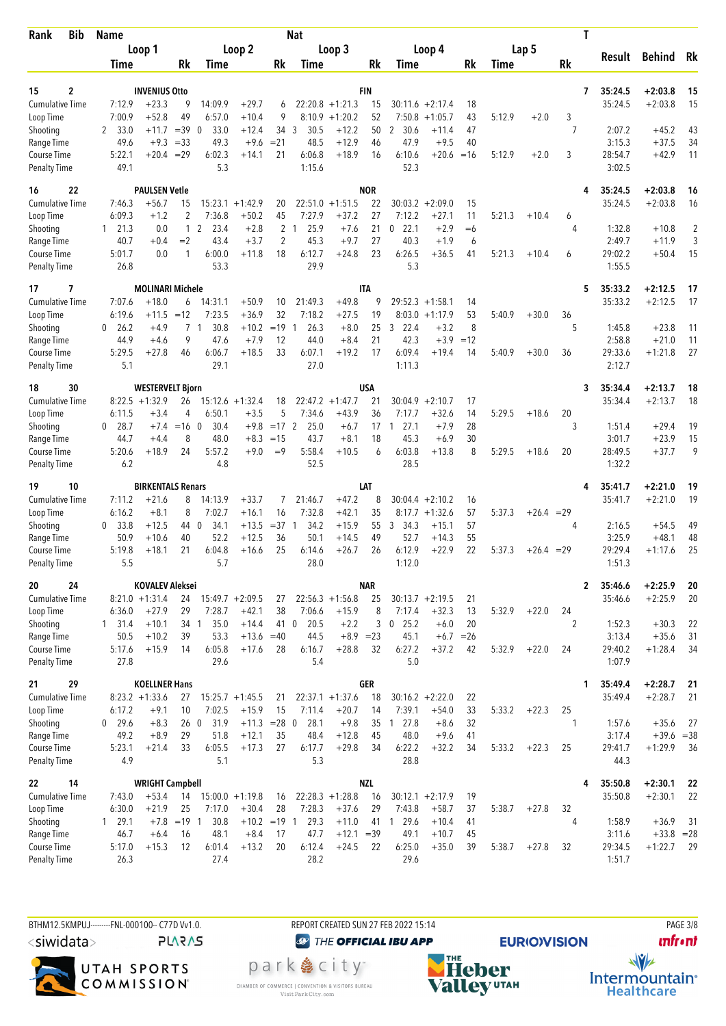| <b>Bib</b><br>Rank                  |    | <b>Name</b>      |                                             |                      |                        |                         |                     | <b>Nat</b>           |                        |                  |                             |                               |            |        |              |    | Т            |                    |                        |          |
|-------------------------------------|----|------------------|---------------------------------------------|----------------------|------------------------|-------------------------|---------------------|----------------------|------------------------|------------------|-----------------------------|-------------------------------|------------|--------|--------------|----|--------------|--------------------|------------------------|----------|
|                                     |    |                  | Loop 1                                      |                      |                        | Loop 2                  |                     |                      | Loop 3                 |                  |                             | Loop 4                        |            |        | Lap 5        |    |              |                    |                        |          |
|                                     |    | Time             |                                             | Rk                   | Time                   |                         | Rk                  | Time                 |                        | Rk               | Time                        |                               | Rk         | Time   |              | Rk |              | Result             | <b>Behind</b>          | Rk       |
|                                     |    |                  |                                             |                      |                        |                         |                     |                      |                        |                  |                             |                               |            |        |              |    |              |                    |                        |          |
| 15<br><b>Cumulative Time</b>        | 2  | 7:12.9           | <b>INVENIUS Otto</b><br>$+23.3$             | 9                    | 14:09.9                | $+29.7$                 | 6                   |                      | $22:20.8 +1:21.3$      | <b>FIN</b><br>15 | 30:11.6                     | $+2:17.4$                     | 18         |        |              |    | 7            | 35:24.5<br>35:24.5 | $+2:03.8$<br>$+2:03.8$ | 15<br>15 |
| Loop Time                           |    | 7:00.9           | $+52.8$                                     | 49                   | 6:57.0                 | $+10.4$                 | 9                   | 8:10.9               | $+1:20.2$              | 52               | 7:50.8                      | $+1:05.7$                     | 43         | 5:12.9 | $+2.0$       | 3  |              |                    |                        |          |
| Shooting                            |    | 33.0<br>2        | $+11.7$                                     | $=39$                | $\overline{0}$<br>33.0 | $+12.4$                 | 34 3                | 30.5                 | $+12.2$                | 50               | $\overline{2}$<br>30.6      | $+11.4$                       | 47         |        |              | 7  |              | 2:07.2             | $+45.2$                | 43       |
| Range Time                          |    | 49.6             | $+9.3$                                      | $= 33$               | 49.3                   | $+9.6$                  | $= 21$              | 48.5                 | $+12.9$                | 46               | 47.9                        | $+9.5$                        | 40         |        |              |    |              | 3:15.3             | $+37.5$                | 34       |
| Course Time                         |    | 5:22.1           | $+20.4$                                     | $=29$                | 6:02.3                 | $+14.1$                 | 21                  | 6:06.8               | $+18.9$                | 16               | 6:10.6                      | $+20.6$                       | $=16$      | 5:12.9 | $+2.0$       | 3  |              | 28:54.7            | $+42.9$                | 11       |
| <b>Penalty Time</b>                 |    | 49.1             |                                             |                      | 5.3                    |                         |                     | 1:15.6               |                        |                  | 52.3                        |                               |            |        |              |    |              | 3:02.5             |                        |          |
| 16                                  | 22 |                  | <b>PAULSEN Vetle</b>                        |                      |                        |                         |                     |                      |                        | <b>NOR</b>       |                             |                               |            |        |              |    | 4            | 35:24.5            | $+2:03.8$              | 16       |
| <b>Cumulative Time</b>              |    | 7:46.3           | +56.7                                       | 15                   |                        | $15:23.1 + 1:42.9$      | 20                  | 22:51.0              | $+1:51.5$              | 22               | 30:03.2                     | $+2:09.0$                     | 15         |        |              |    |              | 35:24.5            | $+2:03.8$              | 16       |
| Loop Time                           |    | 6:09.3           | $+1.2$                                      | 2                    | 7:36.8                 | $+50.2$                 | 45                  | 7:27.9               | $+37.2$                | 27               | 7:12.2                      | $+27.1$                       | 11         | 5:21.3 | $+10.4$      | 6  |              |                    |                        |          |
| Shooting                            |    | $1 \quad 21.3$   | 0.0                                         | $\mathbf{1}$<br>$=2$ | 2<br>23.4              | $+2.8$                  | 2<br>$\overline{2}$ | 25.9<br>$\mathbf{1}$ | $+7.6$<br>$+9.7$       | 21<br>27         | 22.1<br>$\mathbf 0$<br>40.3 | $+2.9$<br>$+1.9$              | $= 6$<br>6 |        |              | 4  |              | 1:32.8             | $+10.8$                | 2<br>3   |
| Range Time<br>Course Time           |    | 40.7<br>5:01.7   | $+0.4$<br>0.0                               | 1                    | 43.4<br>6:00.0         | $+3.7$<br>$+11.8$       | 18                  | 45.3<br>6:12.7       | $+24.8$                | 23               | 6:26.5                      | $+36.5$                       | 41         | 5:21.3 | $+10.4$      | 6  |              | 2:49.7<br>29:02.2  | $+11.9$<br>$+50.4$     | 15       |
| <b>Penalty Time</b>                 |    | 26.8             |                                             |                      | 53.3                   |                         |                     | 29.9                 |                        |                  | 5.3                         |                               |            |        |              |    |              | 1:55.5             |                        |          |
| 17                                  | 7  |                  | <b>MOLINARI Michele</b>                     |                      |                        |                         |                     |                      |                        | <b>ITA</b>       |                             |                               |            |        |              |    | 5            | 35:33.2            | $+2:12.5$              | 17       |
| <b>Cumulative Time</b>              |    | 7:07.6           | $+18.0$                                     | 6                    | 14:31.1                | $+50.9$                 | 10                  | 21:49.3              | $+49.8$                | 9                | 29:52.3                     | $+1:58.1$                     | 14         |        |              |    |              | 35:33.2            | $+2:12.5$              | 17       |
| Loop Time                           |    | 6:19.6           | $+11.5$                                     | $=12$                | 7:23.5                 | $+36.9$                 | 32                  | 7:18.2               | $+27.5$                | 19               | 8:03.0                      | $+1:17.9$                     | 53         | 5:40.9 | $+30.0$      | 36 |              |                    |                        |          |
| Shooting                            |    | 26.2<br>0        | $+4.9$                                      | $7^{\circ}$          | 30.8<br>$\overline{1}$ | $+10.2$                 | $=19$               | 26.3<br>$\mathbf{1}$ | $+8.0$                 | 25               | 22.4<br>3                   | $+3.2$                        | 8          |        |              | 5  |              | 1:45.8             | $+23.8$                | 11       |
| Range Time                          |    | 44.9             | $+4.6$                                      | 9                    | 47.6                   | $+7.9$                  | 12                  | 44.0                 | $+8.4$                 | 21               | 42.3                        | $+3.9$                        | $=12$      |        |              |    |              | 2:58.8             | $+21.0$                | 11       |
| Course Time<br><b>Penalty Time</b>  |    | 5:29.5<br>5.1    | $+27.8$                                     | 46                   | 6:06.7<br>29.1         | $+18.5$                 | 33                  | 6:07.1<br>27.0       | $+19.2$                | 17               | 6:09.4<br>1:11.3            | $+19.4$                       | 14         | 5:40.9 | $+30.0$      | 36 |              | 29:33.6<br>2:12.7  | $+1:21.8$              | 27       |
|                                     |    |                  |                                             |                      |                        |                         |                     |                      |                        | <b>USA</b>       |                             |                               |            |        |              |    |              |                    |                        |          |
| 18<br><b>Cumulative Time</b>        | 30 |                  | <b>WESTERVELT Bjorn</b><br>$8:22.5 +1:32.9$ | 26                   |                        | $15:12.6 + 1:32.4$      | 18                  |                      | $22:47.2 +1:47.7$      | 21               | 30:04.9                     | $+2:10.7$                     | 17         |        |              |    | 3            | 35:34.4<br>35:34.4 | $+2:13.7$<br>$+2:13.7$ | 18<br>18 |
| Loop Time                           |    | 6:11.5           | $+3.4$                                      | 4                    | 6:50.1                 | $+3.5$                  | 5                   | 7:34.6               | $+43.9$                | 36               | 7:17.7                      | $+32.6$                       | 14         | 5:29.5 | $+18.6$      | 20 |              |                    |                        |          |
| Shooting                            |    | $0$ 28.7         | $+7.4$                                      | $=16$ 0              | 30.4                   | $+9.8$                  | $=17$ 2             | 25.0                 | $+6.7$                 | 17               | 27.1<br>-1                  | $+7.9$                        | 28         |        |              | 3  |              | 1:51.4             | $+29.4$                | 19       |
| Range Time                          |    | 44.7             | $+4.4$                                      | 8                    | 48.0                   | $+8.3$                  | $=15$               | 43.7                 | $+8.1$                 | 18               | 45.3                        | $+6.9$                        | 30         |        |              |    |              | 3:01.7             | $+23.9$                | 15       |
| Course Time                         |    | 5:20.6<br>6.2    | $+18.9$                                     | 24                   | 5:57.2<br>4.8          | $+9.0$                  | $=9$                | 5:58.4<br>52.5       | $+10.5$                | 6                | 6:03.8<br>28.5              | $+13.8$                       | 8          | 5:29.5 | $+18.6$      | 20 |              | 28:49.5<br>1:32.2  | $+37.7$                | 9        |
| <b>Penalty Time</b>                 |    |                  |                                             |                      |                        |                         |                     |                      |                        |                  |                             |                               |            |        |              |    |              |                    |                        |          |
| 19                                  | 10 |                  | <b>BIRKENTALS Renars</b>                    |                      |                        |                         |                     |                      |                        | LAT              |                             |                               |            |        |              |    | 4            | 35:41.7            | $+2:21.0$              | 19       |
| <b>Cumulative Time</b><br>Loop Time |    | 7:11.2<br>6:16.2 | $+21.6$<br>$+8.1$                           | 8<br>8               | 14:13.9<br>7:02.7      | $+33.7$<br>$+16.1$      | 7<br>16             | 21:46.7<br>7:32.8    | $+47.2$<br>$+42.1$     | 8<br>35          | 30:04.4                     | $+2:10.2$<br>$8:17.7 +1:32.6$ | 16<br>57   | 5:37.3 | $+26.4 = 29$ |    |              | 35:41.7            | $+2:21.0$              | 19       |
| Shooting                            |    | 33.8<br>0        | $+12.5$                                     | 44 0                 | 34.1                   | $+13.5$                 | $=37.1$             | 34.2                 | $+15.9$                | 55               | $\mathbf{3}$<br>34.3        | $+15.1$                       | 57         |        |              | 4  |              | 2:16.5             | $+54.5$                | 49       |
| Range Time                          |    | 50.9             | $+10.6$                                     | 40                   | 52.2                   | $+12.5$                 | 36                  | 50.1                 | $+14.5$                | 49               | 52.7                        | $+14.3$                       | 55         |        |              |    |              | 3:25.9             | $+48.1$                | 48       |
| Course Time                         |    | 5:19.8           | $+18.1$                                     | 21                   | 6:04.8                 | $+16.6$                 | 25                  | 6:14.6               | $+26.7$                | 26               | 6:12.9                      | $+22.9$                       | 22         | 5:37.3 | $+26.4 = 29$ |    |              | 29:29.4            | $+1:17.6$              | 25       |
| <b>Penalty Time</b>                 |    | 5.5              |                                             |                      | 5.7                    |                         |                     | 28.0                 |                        |                  | 1:12.0                      |                               |            |        |              |    |              | 1:51.3             |                        |          |
| 20                                  | 24 |                  | <b>KOVALEV Aleksei</b>                      |                      |                        |                         |                     |                      |                        | NAR              |                             |                               |            |        |              |    | $\mathbf{2}$ | 35:46.6            | $+2:25.9$              | 20       |
| Cumulative Time                     |    |                  | $8:21.0 +1:31.4$                            | 24                   |                        | $15:49.7 + 2:09.5$      | 27                  |                      | $22:56.3 +1:56.8$      | 25               | $30:13.7 +2:19.5$           |                               | 21         |        |              |    |              | 35:46.6            | $+2:25.9$              | 20       |
| Loop Time                           |    | 6:36.0           | $+27.9$                                     | 29                   | 7:28.7                 | $+42.1$                 | 38                  | 7:06.6               | $+15.9$                | 8                | 7:17.4                      | $+32.3$                       | 13         | 5:32.9 | $+22.0$      | 24 |              |                    |                        |          |
| Shooting                            |    | $1 \quad 31.4$   | $+10.1$                                     | 34 1                 | 35.0                   | $+14.4$                 | 41 0                | 20.5                 | $+2.2$                 | 3                | $0$ 25.2                    | $+6.0$                        | 20         |        |              | 2  |              | 1:52.3             | $+30.3$                | 22       |
| Range Time<br>Course Time           |    | 50.5<br>5:17.6   | $+10.2$<br>$+15.9$                          | 39<br>14             | 53.3<br>6:05.8         | $+13.6 = 40$<br>$+17.6$ | 28                  | 44.5<br>6:16.7       | $+8.9 = 23$<br>$+28.8$ | 32               | 45.1<br>6:27.2              | $+6.7 = 26$<br>$+37.2$        | 42         | 5:32.9 | $+22.0$      | 24 |              | 3:13.4<br>29:40.2  | $+35.6$<br>$+1:28.4$   | 31<br>34 |
| <b>Penalty Time</b>                 |    | 27.8             |                                             |                      | 29.6                   |                         |                     | 5.4                  |                        |                  | 5.0                         |                               |            |        |              |    |              | 1:07.9             |                        |          |
| 21                                  | 29 |                  | <b>KOELLNER Hans</b>                        |                      |                        |                         |                     |                      |                        | GER              |                             |                               |            |        |              |    | 1            | 35:49.4            | $+2:28.7$              | 21       |
| <b>Cumulative Time</b>              |    |                  | $8:23.2 +1:33.6$                            | 27                   |                        | $15:25.7 + 1:45.5$      | 21                  |                      | $22:37.1 + 1:37.6$     | 18               | $30:16.2 +2:22.0$           |                               | 22         |        |              |    |              | 35:49.4            | $+2:28.7$              | 21       |
| Loop Time                           |    | 6:17.2           | $+9.1$                                      | 10                   | 7:02.5                 | $+15.9$                 | 15                  | 7:11.4               | $+20.7$                | 14               | 7:39.1                      | $+54.0$                       | 33         | 5:33.2 | $+22.3$      | 25 |              |                    |                        |          |
| Shooting                            |    | $0$ 29.6         | $+8.3$                                      | 260                  | 31.9                   | $+11.3 = 28$ 0          |                     | 28.1                 | $+9.8$                 | 35               | $1 \t27.8$                  | $+8.6$                        | 32         |        |              | 1  |              | 1:57.6             | $+35.6$                | 27       |
| Range Time                          |    | 49.2             | $+8.9$                                      | 29                   | 51.8                   | $+12.1$                 | 35                  | 48.4                 | $+12.8$                | 45               | 48.0                        | $+9.6$                        | 41         |        |              |    |              | 3:17.4             | $+39.6 = 38$           |          |
| Course Time<br><b>Penalty Time</b>  |    | 5:23.1<br>4.9    | $+21.4$                                     | 33                   | 6:05.5<br>5.1          | $+17.3$                 | 27                  | 6:17.7<br>5.3        | $+29.8$                | 34               | 6:22.2<br>28.8              | $+32.2$                       | 34         | 5:33.2 | $+22.3$      | 25 |              | 29:41.7<br>44.3    | $+1:29.9$              | 36       |
| 22                                  | 14 |                  | <b>WRIGHT Campbell</b>                      |                      |                        |                         |                     |                      |                        | <b>NZL</b>       |                             |                               |            |        |              |    | 4            | 35:50.8            | $+2:30.1$              | 22       |
| <b>Cumulative Time</b>              |    | 7:43.0           | $+53.4$                                     | 14                   | $15:00.0 + 1:19.8$     |                         | 16                  |                      | $22:28.3 +1:28.8$      | 16               | $30:12.1 + 2:17.9$          |                               | 19         |        |              |    |              | 35:50.8            | $+2:30.1$              | 22       |
| Loop Time                           |    | 6:30.0           | $+21.9$                                     | 25                   | 7:17.0                 | $+30.4$                 | 28                  | 7:28.3               | $+37.6$                | 29               | 7:43.8                      | $+58.7$                       | 37         | 5:38.7 | $+27.8$      | 32 |              |                    |                        |          |
| Shooting                            |    | $1 \quad 29.1$   | $+7.8$                                      | $= 19 \quad 1$       | 30.8                   | $+10.2 = 19$ 1          |                     | 29.3                 | $+11.0$                |                  | 41 1 29.6                   | $+10.4$                       | 41         |        |              | 4  |              | 1:58.9             | $+36.9$                | 31       |
| Range Time                          |    | 46.7             | $+6.4$                                      | 16                   | 48.1                   | $+8.4$                  | 17                  | 47.7                 | $+12.1 = 39$           |                  | 49.1                        | $+10.7$                       | 45         |        |              |    |              | 3:11.6             | $+33.8 = 28$           |          |
| Course Time                         |    | 5:17.0           | $+15.3$                                     | 12                   | 6:01.4                 | $+13.2$                 | 20                  | 6:12.4               | $+24.5$                | 22               | 6:25.0                      | $+35.0$                       | 39         | 5:38.7 | $+27.8$      | 32 |              | 29:34.5            | $+1:22.7$              | -29      |
| <b>Penalty Time</b>                 |    | 26.3             |                                             |                      | 27.4                   |                         |                     | 28.2                 |                        |                  | 29.6                        |                               |            |        |              |    |              | 1:51.7             |                        |          |

BTHM12.5KMPUJ---------FNL-000100-- C77D Vv1.0. <siwidata>

**PLARAS** 



REPORT CREATED SUN 27 FEB 2022 15:14 **@** THE OFFICIAL IBU APP

park e city<sup>®</sup> CHAMBER OF COMMERCE | CONVENTION & VISITORS BUREAU<br>Visit Park City.com



**PAGE 3/8 unfront**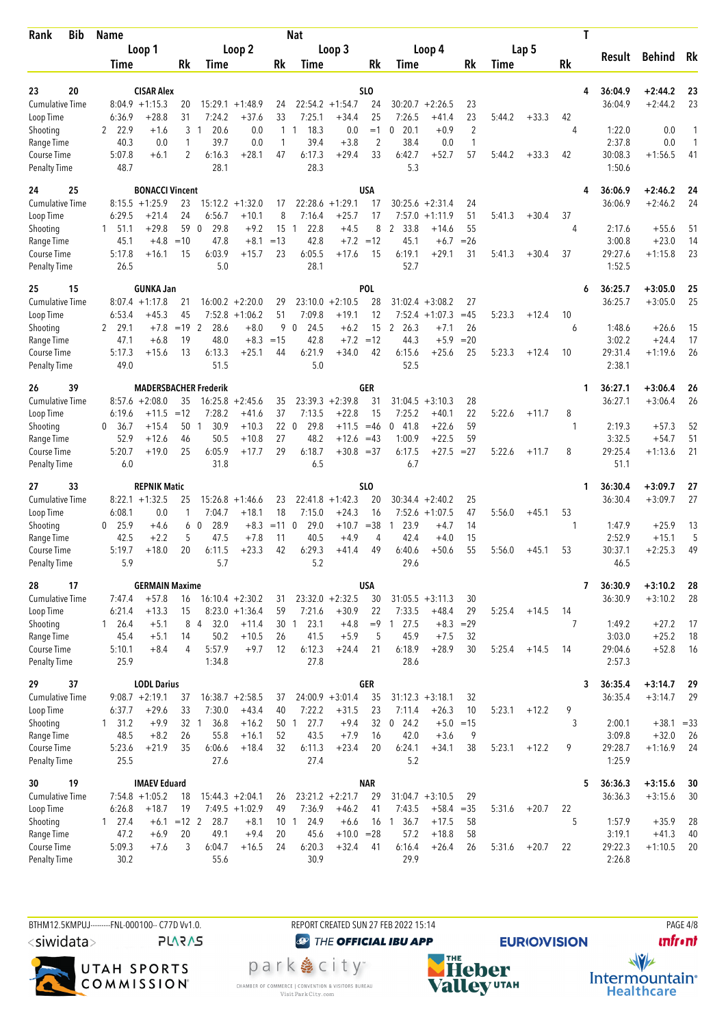| <b>Bib</b><br>Rank                  | <b>Name</b>              |                                  |               |                                         |                               |              | <b>Nat</b>             |                      |                |                                |                      |                |        |         | Τ       |                    |                        |           |
|-------------------------------------|--------------------------|----------------------------------|---------------|-----------------------------------------|-------------------------------|--------------|------------------------|----------------------|----------------|--------------------------------|----------------------|----------------|--------|---------|---------|--------------------|------------------------|-----------|
|                                     |                          | Loop 1                           |               |                                         | Loop 2                        |              |                        | Loop 3               |                |                                | Loop 4               |                |        | Lap 5   |         |                    |                        |           |
|                                     | Time                     |                                  | Rk            | Time                                    |                               | Rk           | Time                   |                      | Rk             | Time                           |                      | Rk             | Time   |         | Rk      | Result             | <b>Behind</b>          | Rk        |
|                                     |                          |                                  |               |                                         |                               |              |                        |                      |                |                                |                      |                |        |         |         |                    |                        |           |
| 20<br>23                            |                          | <b>CISAR Alex</b>                |               |                                         |                               |              |                        |                      | SLO            |                                |                      |                |        |         | 4       | 36:04.9            | $+2:44.2$              | 23        |
| <b>Cumulative Time</b><br>Loop Time | 6:36.9                   | $8:04.9 +1:15.3$<br>$+28.8$      | 20<br>31      | 7:24.2                                  | $15:29.1 + 1:48.9$<br>$+37.6$ | 24<br>33     | 22:54.2<br>7:25.1      | $+1:54.7$<br>$+34.4$ | 24<br>25       | 30:20.7<br>7:26.5              | $+2:26.5$<br>$+41.4$ | 23<br>23       | 5:44.2 | $+33.3$ | 42      | 36:04.9            | $+2:44.2$              | 23        |
| Shooting                            | 22.9<br>2                | $+1.6$                           | 3             | 20.6<br>-1                              | 0.0                           | $\mathbf{1}$ | 18.3<br>$\mathbf{1}$   | 0.0                  | $=1$           | 20.1<br>0                      | $+0.9$               | $\overline{2}$ |        |         | 4       | 1:22.0             | 0.0                    | 1         |
| Range Time                          | 40.3                     | 0.0                              | 1             | 39.7                                    | 0.0                           | 1            | 39.4                   | $+3.8$               | $\overline{2}$ | 38.4                           | 0.0                  | $\mathbf{1}$   |        |         |         | 2:37.8             | 0.0                    | 1         |
| Course Time                         | 5:07.8                   | $+6.1$                           | 2             | 6:16.3                                  | $+28.1$                       | 47           | 6:17.3                 | $+29.4$              | 33             | 6:42.7                         | $+52.7$              | 57             | 5:44.2 | $+33.3$ | 42      | 30:08.3            | $+1:56.5$              | 41        |
| <b>Penalty Time</b>                 | 48.7                     |                                  |               | 28.1                                    |                               |              | 28.3                   |                      |                | 5.3                            |                      |                |        |         |         | 1:50.6             |                        |           |
| 25<br>24                            |                          | <b>BONACCI Vincent</b>           |               |                                         |                               |              |                        |                      | <b>USA</b>     |                                |                      |                |        |         | 4       | 36:06.9            | $+2:46.2$              | 24        |
| <b>Cumulative Time</b>              |                          | $8:15.5 + 1:25.9$                | 23            |                                         | $15:12.2 + 1:32.0$            | 17           | 22:28.6                | $+1:29.1$            | 17             |                                | $30:25.6 + 2:31.4$   | 24             |        |         |         | 36:06.9            | $+2:46.2$              | 24        |
| Loop Time                           | 6:29.5                   | $+21.4$                          | 24            | 6:56.7                                  | $+10.1$                       | 8            | 7:16.4                 | $+25.7$              | 17             | 7:57.0                         | $+1:11.9$            | 51             | 5:41.3 | $+30.4$ | 37      |                    |                        |           |
| Shooting                            | $1\quad 51.1$            | $+29.8$                          | 59            | 29.8<br>$\mathbf 0$                     | $+9.2$                        | 15           | 22.8<br>$\overline{1}$ | $+4.5$               | 8              | $\mathbf{2}$<br>33.8           | +14.6                | 55             |        |         | 4       | 2:17.6             | $+55.6$                | 51        |
| Range Time                          | 45.1                     | $+4.8$                           | $=10$         | 47.8                                    | $+8.1$                        | $=13$        | 42.8                   | $+7.2$               | $=12$          | 45.1                           | $+6.7$               | $=26$          |        |         |         | 3:00.8             | $+23.0$                | 14        |
| Course Time                         | 5:17.8                   | $+16.1$                          | 15            | 6:03.9<br>5.0                           | $+15.7$                       | 23           | 6:05.5                 | $+17.6$              | 15             | 6:19.1                         | $+29.1$              | 31             | 5:41.3 | $+30.4$ | 37      | 29:27.6            | $+1:15.8$              | 23        |
| <b>Penalty Time</b>                 | 26.5                     |                                  |               |                                         |                               |              | 28.1                   |                      |                | 52.7                           |                      |                |        |         |         | 1:52.5             |                        |           |
| 15<br>25                            |                          | <b>GUNKA Jan</b>                 |               |                                         |                               |              |                        |                      | <b>POL</b>     |                                |                      |                |        |         | 6       | 36:25.7            | $+3:05.0$              | 25        |
| <b>Cumulative Time</b>              |                          | $8:07.4 +1:17.8$                 | 21            | 16:00.2                                 | $+2:20.0$                     | 29           | 23:10.0                | $+2:10.5$            | 28             | 31:02.4                        | $+3:08.2$            | 27             |        |         |         | 36:25.7            | $+3:05.0$              | 25        |
| Loop Time                           | 6:53.4                   | $+45.3$                          | 45            | 7:52.8                                  | $+1:06.2$                     | 51           | 7:09.8                 | $+19.1$              | 12             |                                | $7:52.4 +1:07.3$     | $=45$          | 5:23.3 | $+12.4$ | 10      |                    |                        |           |
| Shooting<br>Range Time              | 29.1<br>2<br>47.1        | $+7.8$<br>$+6.8$                 | $=19$<br>19   | 2<br>28.6<br>48.0                       | $+8.0$<br>$+8.3$              | $=15$        | 90<br>24.5<br>42.8     | $+6.2$<br>$+7.2$     | 15<br>$=12$    | $\overline{2}$<br>26.3<br>44.3 | $+7.1$<br>$+5.9$     | 26<br>$= 20$   |        |         | 6       | 1:48.6<br>3:02.2   | $+26.6$<br>$+24.4$     | 15<br>17  |
| Course Time                         | 5:17.3                   | $+15.6$                          | 13            | 6:13.3                                  | $+25.1$                       | 44           | 6:21.9                 | $+34.0$              | 42             | 6:15.6                         | $+25.6$              | 25             | 5:23.3 | $+12.4$ | 10      | 29:31.4            | $+1:19.6$              | 26        |
| <b>Penalty Time</b>                 | 49.0                     |                                  |               | 51.5                                    |                               |              | 5.0                    |                      |                | 52.5                           |                      |                |        |         |         | 2:38.1             |                        |           |
|                                     |                          |                                  |               |                                         |                               |              |                        |                      |                |                                |                      |                |        |         |         |                    |                        |           |
| 26<br>39<br><b>Cumulative Time</b>  |                          | $8:57.6 + 2:08.0$                | 35            | <b>MADERSBACHER Frederik</b><br>16:25.8 | $+2:45.6$                     | 35           |                        | $23:39.3 + 2:39.8$   | GER<br>31      | 31:04.5                        | $+3:10.3$            | 28             |        |         | 1       | 36:27.1<br>36:27.1 | $+3:06.4$<br>$+3:06.4$ | 26<br>26  |
| Loop Time                           | 6:19.6                   | +11.5                            | $=12$         | 7:28.2                                  | $+41.6$                       | 37           | 7:13.5                 | $+22.8$              | 15             | 7:25.2                         | $+40.1$              | 22             | 5:22.6 | $+11.7$ | 8       |                    |                        |           |
| Shooting                            | 36.7<br>0                | $+15.4$                          | 50            | 30.9<br>$\overline{1}$                  | $+10.3$                       | 22 0         | 29.8                   | $+11.5$              | $=46$          | 41.8<br>0                      | $+22.6$              | 59             |        |         | 1       | 2:19.3             | $+57.3$                | 52        |
| Range Time                          | 52.9                     | $+12.6$                          | 46            | 50.5                                    | $+10.8$                       | 27           | 48.2                   | $+12.6$              | $=43$          | 1:00.9                         | $+22.5$              | 59             |        |         |         | 3:32.5             | $+54.7$                | 51        |
| Course Time                         | 5:20.7                   | $+19.0$                          | 25            | 6:05.9                                  | $+17.7$                       | 29           | 6:18.7                 | $+30.8 = 37$         |                | 6:17.5                         | $+27.5$              | $= 27$         | 5:22.6 | $+11.7$ | 8       | 29:25.4            | $+1:13.6$              | 21        |
| <b>Penalty Time</b>                 | 6.0                      |                                  |               | 31.8                                    |                               |              | 6.5                    |                      |                | 6.7                            |                      |                |        |         |         | 51.1               |                        |           |
| 33<br>27                            |                          | <b>REPNIK Matic</b>              |               |                                         |                               |              |                        |                      | <b>SLO</b>     |                                |                      |                |        |         | 1       | 36:30.4            | $+3:09.7$              | 27        |
| <b>Cumulative Time</b>              |                          | $8:22.1 + 1:32.5$                | 25            |                                         | $15:26.8 + 1:46.6$            | 23           | 22:41.8                | $+1:42.3$            | 20             |                                | $30:34.4 + 2:40.2$   | 25             |        |         |         | 36:30.4            | $+3:09.7$              | 27        |
| Loop Time                           | 6:08.1                   | 0.0                              | 1             | 7:04.7                                  | $+18.1$                       | 18           | 7:15.0                 | $+24.3$              | 16             |                                | $7:52.6 + 1:07.5$    | 47             | 5:56.0 | $+45.1$ | 53      |                    |                        |           |
| Shooting                            | 25.9<br>0                | $+4.6$                           | 6             | 28.9<br>- 0                             | $+8.3$                        | $= 11$ 0     | 29.0                   | $+10.7$              | $= 38$         | 23.9<br>1                      | $+4.7$               | 14             |        |         | 1       | 1:47.9             | $+25.9$                | 13        |
| Range Time<br><b>Course Time</b>    | 42.5<br>5:19.7           | $+2.2$<br>$+18.0$                | 5<br>20       | 47.5<br>6:11.5                          | $+7.8$<br>$+23.3$             | 11<br>42     | 40.5<br>6:29.3         | $+4.9$<br>$+41.4$    | 4<br>49        | 42.4<br>6:40.6                 | $+4.0$<br>$+50.6$    | 15<br>55       | 5:56.0 | $+45.1$ | 53      | 2:52.9<br>30:37.1  | $+15.1$<br>$+2:25.3$   | 5<br>49   |
| <b>Penalty Time</b>                 | 5.9                      |                                  |               | 5.7                                     |                               |              | 5.2                    |                      |                | 29.6                           |                      |                |        |         |         | 46.5               |                        |           |
|                                     |                          |                                  |               |                                         |                               |              |                        |                      |                |                                |                      |                |        |         |         |                    |                        |           |
| 17<br>28<br><b>Cumulative Time</b>  | 7:47.4                   | <b>GERMAIN Maxime</b><br>$+57.8$ |               |                                         | $16:10.4 + 2:30.2$            | 31           |                        | $23:32.0 +2:32.5$    | USA<br>30      |                                | $31:05.5 + 3:11.3$   | 30             |        |         | 7       | 36:30.9<br>36:30.9 | $+3:10.2$<br>$+3:10.2$ | 28<br>-28 |
| Loop Time                           | 6:21.4                   | $+13.3$                          | 16<br>15      |                                         | $8:23.0 +1:36.4$              | 59           | 7:21.6                 | $+30.9$              | 22             | 7:33.5                         | $+48.4$              | 29             | 5:25.4 | $+14.5$ | 14      |                    |                        |           |
| Shooting                            | $1 \t26.4$               | $+5.1$                           |               | 8 4<br>32.0                             | $+11.4$                       |              | 30 1<br>23.1           | $+4.8$               |                | $= 9$ 1 27.5                   | $+8.3$               | $=29$          |        |         | 7       | 1:49.2             | $+27.2$                | 17        |
| Range Time                          | 45.4                     | $+5.1$                           | 14            | 50.2                                    | $+10.5$                       | 26           | 41.5                   | $+5.9$               | 5              | 45.9                           | $+7.5$               | 32             |        |         |         | 3:03.0             | $+25.2$                | 18        |
| Course Time                         | 5:10.1                   | $+8.4$                           | 4             | 5:57.9                                  | $+9.7$                        | 12           | 6:12.3                 | $+24.4$              | 21             | 6:18.9                         | $+28.9$              | 30             | 5:25.4 | $+14.5$ | 14      | 29:04.6            | $+52.8$                | 16        |
| <b>Penalty Time</b>                 | 25.9                     |                                  |               | 1:34.8                                  |                               |              | 27.8                   |                      |                | 28.6                           |                      |                |        |         |         | 2:57.3             |                        |           |
| 37<br>29                            |                          | <b>LODL Darius</b>               |               |                                         |                               |              |                        |                      | GER            |                                |                      |                |        |         | 3       | 36:35.4            | $+3:14.7$              | 29        |
| <b>Cumulative Time</b>              |                          | $9:08.7 +2:19.1$                 | 37            |                                         | $16:38.7 + 2:58.5$            | 37           |                        | $24:00.9 + 3:01.4$   | 35             |                                | $31:12.3 + 3:18.1$   | 32             |        |         |         | 36:35.4            | $+3:14.7$              | 29        |
| Loop Time                           | 6:37.7                   | $+29.6$                          | 33            | 7:30.0                                  | $+43.4$                       | 40           | 7:22.2                 | $+31.5$              | 23             | 7:11.4                         | $+26.3$              | 10             | 5:23.1 | $+12.2$ | 9       |                    |                        |           |
| Shooting                            | $1 \quad 31.2$           | $+9.9$                           | 32 1          | 36.8                                    | $+16.2$                       | 50 1         | 27.7                   | $+9.4$               | 32             | 24.2<br>$\mathbf 0$            | $+5.0$               | $=15$          |        |         | 3       | 2:00.1             | $+38.1 = 33$           |           |
| Range Time                          | 48.5                     | $+8.2$                           | 26            | 55.8                                    | $+16.1$                       | 52           | 43.5                   | $+7.9$               | 16             | 42.0                           | $+3.6$               | 9              |        |         |         | 3:09.8             | $+32.0$                | 26        |
| Course Time<br><b>Penalty Time</b>  | 5:23.6<br>25.5           | $+21.9$                          | 35            | 6:06.6<br>27.6                          | $+18.4$                       | 32           | 6:11.3<br>27.4         | $+23.4$              | 20             | 6:24.1<br>5.2                  | $+34.1$              | 38             | 5:23.1 | $+12.2$ | 9       | 29:28.7<br>1:25.9  | $+1:16.9$              | 24        |
|                                     |                          |                                  |               |                                         |                               |              |                        |                      |                |                                |                      |                |        |         |         |                    |                        |           |
| 19<br>30                            |                          | <b>IMAEV Eduard</b>              |               |                                         |                               |              |                        |                      | <b>NAR</b>     |                                |                      |                |        |         |         | 5<br>36:36.3       | $+3:15.6$              | 30        |
| <b>Cumulative Time</b>              |                          | $7:54.8$ +1:05.2                 | 18            |                                         | $15:44.3 + 2:04.1$            | 26           |                        | $23:21.2 +2:21.7$    | 29             |                                | $31:04.7 + 3:10.5$   | 29             |        |         |         | 36:36.3            | $+3:15.6$              | 30        |
| Loop Time<br>Shooting               | 6:26.8<br>$1 \quad 27.4$ | $+18.7$<br>$+6.1$                | 19<br>$=12$ 2 | 28.7                                    | $7:49.5 +1:02.9$<br>$+8.1$    | 49           | 7:36.9<br>24.9<br>10 1 | $+46.2$<br>$+6.6$    | 41             | 7:43.5<br>36.7<br>16 1         | $+58.4$<br>$+17.5$   | $= 35$<br>58   | 5:31.6 | $+20.7$ | 22<br>5 | 1:57.9             | $+35.9$                | 28        |
| Range Time                          | 47.2                     | $+6.9$                           | 20            | 49.1                                    | $+9.4$                        | 20           | 45.6                   | $+10.0 = 28$         |                | 57.2                           | $+18.8$              | 58             |        |         |         | 3:19.1             | $+41.3$                | 40        |
| Course Time                         | 5:09.3                   | $+7.6$                           | 3             | 6:04.7                                  | $+16.5$                       | 24           | 6:20.3                 | $+32.4$              | 41             | 6:16.4                         | $+26.4$              | 26             | 5:31.6 | $+20.7$ | 22      | 29:22.3            | $+1:10.5$              | 20        |
| <b>Penalty Time</b>                 | 30.2                     |                                  |               | 55.6                                    |                               |              | 30.9                   |                      |                | 29.9                           |                      |                |        |         |         | 2:26.8             |                        |           |
|                                     |                          |                                  |               |                                         |                               |              |                        |                      |                |                                |                      |                |        |         |         |                    |                        |           |

BTHM12.5KMPUJ--------FNL-000100-- C77D Vv1.0. REPORT CREATED SUN 27 FEB 2022 15:14 PAGE 4/8 <siwidata>

**PLARAS** 



**@** THE OFFICIAL IBU APP park e city<sup>®</sup> CHAMBER OF COMMERCE | CONVENTION & VISITORS BUREAU<br>Visit Park City.com



**unfront** 

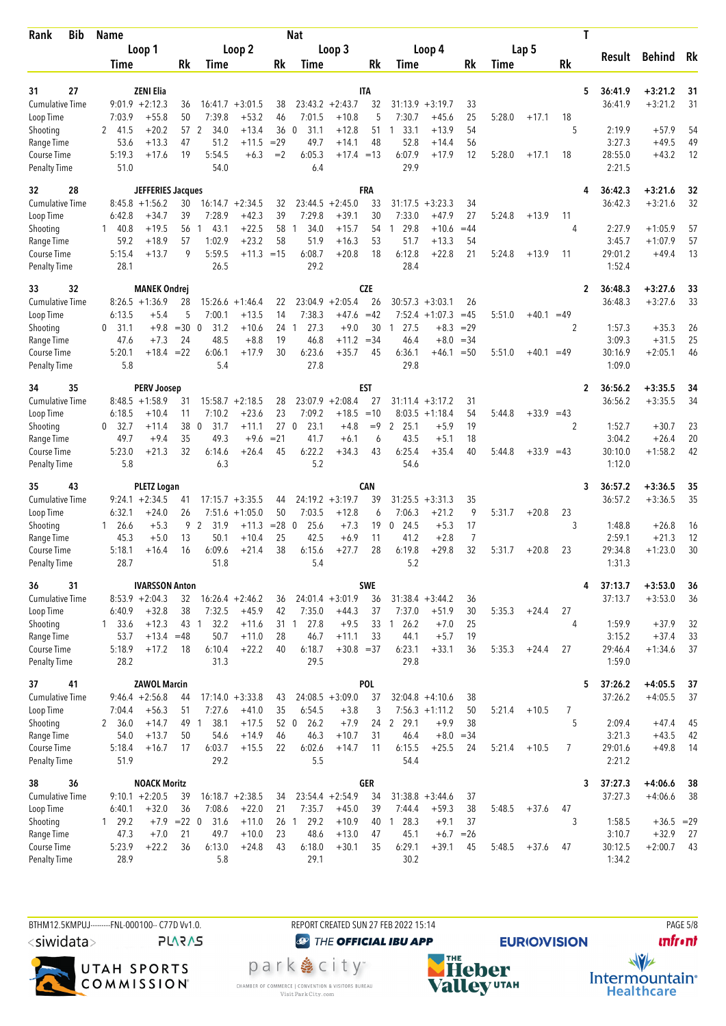| <b>Bib</b><br>Rank                 | <b>Name</b>           |                          |              |                     |                               |                | Nat                  |                        |                  |                        |                      |                |        |              |       | Τ                         |                        |          |
|------------------------------------|-----------------------|--------------------------|--------------|---------------------|-------------------------------|----------------|----------------------|------------------------|------------------|------------------------|----------------------|----------------|--------|--------------|-------|---------------------------|------------------------|----------|
|                                    |                       | Loop 1                   |              |                     | Loop 2                        |                |                      | Loop 3                 |                  |                        | Loop 4               |                |        | Lap 5        |       |                           | Behind                 |          |
|                                    | Time                  |                          | Rk           | Time                |                               | Rk             | Time                 |                        | Rk               | Time                   |                      | Rk             | Time   |              | Rk    | Result                    |                        | Rk       |
|                                    |                       |                          |              |                     |                               |                |                      |                        |                  |                        |                      |                |        |              |       |                           |                        |          |
| 27<br>31<br><b>Cumulative Time</b> | $9:01.9 +2:12.3$      | <b>ZENI Elia</b>         |              |                     |                               |                |                      | $23:43.2 +2:43.7$      | <b>ITA</b><br>32 | 31:13.9                |                      |                |        |              |       | 5<br>36:41.9<br>36:41.9   | $+3:21.2$<br>$+3:21.2$ | 31<br>31 |
| Loop Time                          | 7:03.9                | $+55.8$                  | 36<br>50     | 7:39.8              | $16:41.7 + 3:01.5$<br>$+53.2$ | 38<br>46       | 7:01.5               | $+10.8$                | 5                | 7:30.7                 | $+3:19.7$<br>$+45.6$ | 33<br>25       | 5:28.0 | $+17.1$      | 18    |                           |                        |          |
| Shooting                           | 2 41.5                | $+20.2$                  | 57 2         | 34.0                | $+13.4$                       | 36             | $\mathbf{0}$<br>31.1 | $+12.8$                | 51               | 33.1<br>1              | $+13.9$              | 54             |        |              | 5     | 2:19.9                    | $+57.9$                | 54       |
| Range Time                         | 53.6                  | $+13.3$                  | 47           | 51.2                | $+11.5$                       | $=29$          | 49.7                 | $+14.1$                | 48               | 52.8                   | $+14.4$              | 56             |        |              |       | 3:27.3                    | $+49.5$                | 49       |
| Course Time                        | 5:19.3                | $+17.6$                  | 19           | 5:54.5              | $+6.3$                        | $=2$           | 6:05.3               | $+17.4 = 13$           |                  | 6:07.9                 | $+17.9$              | 12             | 5:28.0 | $+17.1$      | 18    | 28:55.0                   | $+43.2$                | 12       |
| <b>Penalty Time</b>                | 51.0                  |                          |              | 54.0                |                               |                | 6.4                  |                        |                  | 29.9                   |                      |                |        |              |       | 2:21.5                    |                        |          |
| 32<br>28                           |                       | <b>JEFFERIES Jacques</b> |              |                     |                               |                |                      |                        | FRA              |                        |                      |                |        |              |       | 36:42.3<br>4              | $+3:21.6$              | 32       |
| Cumulative Time                    | $8:45.8 +1:56.2$      |                          | 30           |                     | $16:14.7 + 2:34.5$            | 32             |                      | $23:44.5 + 2:45.0$     | 33               | 31:17.5                | $+3:23.3$            | 34             |        |              |       | 36:42.3                   | $+3:21.6$              | 32       |
| Loop Time                          | 6:42.8                | $+34.7$                  | 39           | 7:28.9              | $+42.3$                       | 39             | 7:29.8               | $+39.1$                | 30               | 7:33.0                 | $+47.9$              | 27             | 5:24.8 | $+13.9$      | 11    |                           |                        |          |
| Shooting                           | 140.8                 | $+19.5$                  | 56           | 43.1<br>-1          | $+22.5$                       | 58             | 34.0<br>1            | $+15.7$                | 54               | 29.8<br>$\overline{1}$ | $+10.6$              | $=44$          |        |              | 4     | 2:27.9                    | $+1:05.9$              | 57       |
| Range Time                         | 59.2                  | $+18.9$                  | 57           | 1:02.9              | $+23.2$                       | 58             | 51.9                 | $+16.3$                | 53               | 51.7                   | $+13.3$              | 54             |        |              |       | 3:45.7                    | $+1:07.9$              | 57       |
| Course Time                        | 5:15.4                | $+13.7$                  | 9            | 5:59.5              | $+11.3 = 15$                  |                | 6:08.7               | $+20.8$                | 18               | 6:12.8                 | $+22.8$              | 21             | 5:24.8 | $+13.9$      | 11    | 29:01.2                   | $+49.4$                | 13       |
| <b>Penalty Time</b>                | 28.1                  |                          |              | 26.5                |                               |                | 29.2                 |                        |                  | 28.4                   |                      |                |        |              |       | 1:52.4                    |                        |          |
| 32<br>33                           |                       | <b>MANEK Ondrej</b>      |              |                     |                               |                |                      |                        | CZE              |                        |                      |                |        |              |       | 36:48.3<br>$\overline{2}$ | $+3:27.6$              | 33       |
| <b>Cumulative Time</b>             | $8:26.5 +1:36.9$      |                          | 28           | 15:26.6             | $+1:46.4$                     | 22             | 23:04.9              | $+2:05.4$              | 26               | 30:57.3                | $+3:03.1$            | 26             |        |              |       | 36:48.3                   | $+3:27.6$              | 33       |
| Loop Time                          | 6:13.5                | $+5.4$                   | 5            | 7:00.1              | $+13.5$                       | 14             | 7:38.3               | $+47.6$                | $=42$            | 7:52.4                 | $+1:07.3$            | $=45$          | 5:51.0 | $+40.1 = 49$ |       |                           |                        |          |
| Shooting<br>Range Time             | 31.1<br>0<br>47.6     | $+9.8$<br>$+7.3$         | $=300$<br>24 | 31.2<br>48.5        | $+10.6$<br>$+8.8$             | 24<br>19       | 27.3<br>-1<br>46.8   | $+9.0$<br>$+11.2 = 34$ | 30               | 27.5<br>1<br>46.4      | $+8.3$<br>$+8.0$     | $=29$<br>$=34$ |        |              | 2     | 1:57.3<br>3:09.3          | $+35.3$<br>$+31.5$     | 26<br>25 |
| Course Time                        | 5:20.1                | $+18.4$                  | $=22$        | 6:06.1              | $+17.9$                       | 30             | 6:23.6               | $+35.7$                | 45               | 6:36.1                 | +46.1                | $=50$          | 5:51.0 | $+40.1 = 49$ |       | 30:16.9                   | $+2:05.1$              | 46       |
| <b>Penalty Time</b>                | 5.8                   |                          |              | 5.4                 |                               |                | 27.8                 |                        |                  | 29.8                   |                      |                |        |              |       | 1:09.0                    |                        |          |
| 35<br>34                           |                       | <b>PERV Joosep</b>       |              |                     |                               |                |                      |                        | EST              |                        |                      |                |        |              |       | 36:56.2<br>$\overline{2}$ | $+3:35.5$              | 34       |
| <b>Cumulative Time</b>             | $8:48.5 +1:58.9$      |                          | 31           |                     | $15:58.7 + 2:18.5$            | 28             | 23:07.9              | $+2:08.4$              | 27               |                        | $31:11.4 + 3:17.2$   | 31             |        |              |       | 36:56.2                   | $+3:35.5$              | 34       |
| Loop Time                          | 6:18.5                | $+10.4$                  | 11           | 7:10.2              | $+23.6$                       | 23             | 7:09.2               | $+18.5$                | $=10$            |                        | $8:03.5 +1:18.4$     | 54             | 5:44.8 | $+33.9 = 43$ |       |                           |                        |          |
| Shooting                           | 0, 32.7               | $+11.4$                  | 38           | $\mathbf 0$<br>31.7 | $+11.1$                       | 27             | 23.1<br>$\mathbf 0$  | $+4.8$                 | $=9$             | 2<br>25.1              | $+5.9$               | 19             |        |              | 2     | 1:52.7                    | $+30.7$                | 23       |
| Range Time                         | 49.7                  | $+9.4$                   | 35           | 49.3                | $+9.6$                        | $= 21$         | 41.7                 | $+6.1$                 | 6                | 43.5                   | $+5.1$               | 18             |        |              |       | 3:04.2                    | $+26.4$                | 20       |
| Course Time                        | 5:23.0                | $+21.3$                  | 32           | 6:14.6              | $+26.4$                       | 45             | 6:22.2               | $+34.3$                | 43               | 6:25.4                 | $+35.4$              | 40             | 5:44.8 | $+33.9$      | $=43$ | 30:10.0                   | $+1:58.2$              | 42       |
| <b>Penalty Time</b>                | 5.8                   |                          |              | 6.3                 |                               |                | 5.2                  |                        |                  | 54.6                   |                      |                |        |              |       | 1:12.0                    |                        |          |
| 43<br>35                           |                       | <b>PLETZ Logan</b>       |              |                     |                               |                |                      |                        | CAN              |                        |                      |                |        |              |       | 36:57.2<br>3              | $+3:36.5$              | 35       |
| Cumulative Time                    | $9:24.1 + 2:34.5$     |                          | 41           |                     | $17:15.7 + 3:35.5$            | 44             |                      | $24:19.2 + 3:19.7$     | 39               | 31:25.5                | $+3:31.3$            | 35             |        |              |       | 36:57.2                   | $+3:36.5$              | 35       |
| Loop Time                          | 6:32.1                | $+24.0$                  | 26           |                     | $7:51.6 +1:05.0$              | 50             | 7:03.5               | $+12.8$                | 6                | 7:06.3                 | $+21.2$              | 9              | 5:31.7 | $+20.8$      | 23    |                           |                        |          |
| Shooting                           | $1\quad 26.6$<br>45.3 | $+5.3$                   | 9            | 2<br>31.9<br>50.1   | $+11.3$                       | $= 28$ 0<br>25 | 25.6<br>42.5         | $+7.3$<br>$+6.9$       | 19<br>11         | 24.5<br>0<br>41.2      | $+5.3$<br>$+2.8$     | 17<br>7        |        |              | 3     | 1:48.8<br>2:59.1          | $+26.8$<br>$+21.3$     | 16<br>12 |
| Range Time<br><b>Course Time</b>   | 5:18.1                | $+5.0$<br>$+16.4$        | 13<br>16     | 6:09.6              | $+10.4$<br>$+21.4$            | 38             | 6:15.6               | $+27.7$                | 28               | 6:19.8                 | $+29.8$              | 32             | 5:31.7 | $+20.8$      | 23    | 29:34.8                   | $+1:23.0$              | 30       |
| <b>Penalty Time</b>                | 28.7                  |                          |              | 51.8                |                               |                | 5.4                  |                        |                  | 5.2                    |                      |                |        |              |       | 1:31.3                    |                        |          |
| 36<br>31                           |                       | <b>IVARSSON Anton</b>    |              |                     |                               |                |                      |                        | <b>SWE</b>       |                        |                      |                |        |              |       | 37:13.7<br>4              | $+3:53.0$              | 36       |
| <b>Cumulative Time</b>             | $8:53.9 + 2:04.3$     |                          | 32           |                     | $16:26.4 + 2:46.2$            | 36             |                      | $24:01.4 +3:01.9$      | 36               |                        | $31:38.4 + 3:44.2$   | 36             |        |              |       | 37:13.7                   | $+3:53.0$              | 36       |
| Loop Time                          | 6:40.9                | $+32.8$                  | 38           | 7:32.5              | $+45.9$                       | 42             | 7:35.0               | $+44.3$                | 37               | 7:37.0                 | $+51.9$              | 30             | 5:35.3 | $+24.4$      | 27    |                           |                        |          |
| Shooting                           | $1 \quad 33.6$        | $+12.3$                  | 43 1         | 32.2                | $+11.6$                       |                | 27.8<br>31 1         | $+9.5$                 | 33               | 126.2                  | $+7.0$               | 25             |        |              | 4     | 1:59.9                    | $+37.9$                | 32       |
| Range Time                         | 53.7                  | $+13.4$                  | $=48$        | 50.7                | $+11.0$                       | 28             | 46.7                 | $+11.1$                | 33               | 44.1                   | $+5.7$               | 19             |        |              |       | 3:15.2                    | $+37.4$                | 33       |
| Course Time                        | 5:18.9                | $+17.2$                  | 18           | 6:10.4              | $+22.2$                       | 40             | 6:18.7               | $+30.8 = 37$           |                  | 6:23.1                 | $+33.1$              | 36             | 5:35.3 | $+24.4$      | 27    | 29:46.4                   | $+1:34.6$              | 37       |
| <b>Penalty Time</b>                | 28.2                  |                          |              | 31.3                |                               |                | 29.5                 |                        |                  | 29.8                   |                      |                |        |              |       | 1:59.0                    |                        |          |
| 41<br>37                           |                       | <b>ZAWOL Marcin</b>      |              |                     |                               |                |                      |                        | POL              |                        |                      |                |        |              |       | 5<br>37:26.2              | $+4:05.5$              | 37       |
| <b>Cumulative Time</b>             | $9:46.4 + 2:56.8$     |                          | 44           |                     | $17:14.0 + 3:33.8$            | 43             |                      | $24:08.5 + 3:09.0$     | 37               |                        | $32:04.8 +4:10.6$    | 38             |        |              |       | 37:26.2                   | $+4:05.5$              | 37       |
| Loop Time                          | 7:04.4                | $+56.3$                  | 51           | 7:27.6              | $+41.0$                       | 35             | 6:54.5               | $+3.8$                 | 3                |                        | $7:56.3 +1:11.2$     | 50             | 5:21.4 | $+10.5$      | 7     |                           |                        |          |
| Shooting                           | 2, 36.0               | $+14.7$                  | 49 1         | 38.1                | $+17.5$                       | 52 0           | 26.2                 | $+7.9$                 | 24               | $\mathbf{2}$<br>29.1   | $+9.9$               | 38             |        |              | 5     | 2:09.4                    | $+47.4$                | 45       |
| Range Time<br>Course Time          | 54.0<br>5:18.4        | $+13.7$<br>$+16.7$       | 50<br>17     | 54.6<br>6:03.7      | $+14.9$<br>$+15.5$            | 46<br>22       | 46.3<br>6:02.6       | $+10.7$<br>$+14.7$     | 31<br>11         | 46.4<br>6:15.5         | $+8.0$<br>$+25.5$    | $=34$<br>24    | 5:21.4 | $+10.5$      | 7     | 3:21.3<br>29:01.6         | $+43.5$<br>$+49.8$     | 42<br>14 |
| <b>Penalty Time</b>                | 51.9                  |                          |              | 29.2                |                               |                | 5.5                  |                        |                  | 54.4                   |                      |                |        |              |       | 2:21.2                    |                        |          |
| 36<br>38                           |                       | <b>NOACK Moritz</b>      |              |                     |                               |                |                      |                        | <b>GER</b>       |                        |                      |                |        |              |       | 37:27.3                   | $+4:06.6$              | 38       |
| <b>Cumulative Time</b>             | $9:10.1 + 2:20.5$     |                          | 39           |                     | $16:18.7 + 2:38.5$            | 34             |                      | $23:54.4 +2:54.9$      | 34               |                        | $31:38.8 + 3:44.6$   | 37             |        |              |       | 3<br>37:27.3              | $+4:06.6$              | 38       |
| Loop Time                          | 6:40.1                | $+32.0$                  | 36           | 7:08.6              | $+22.0$                       | 21             | 7:35.7               | $+45.0$                | 39               | 7:44.4                 | $+59.3$              | 38             | 5:48.5 | $+37.6$      | 47    |                           |                        |          |
| Shooting                           | $1 \quad 29.2$        | $+7.9$                   | $= 22 \ 0$   | 31.6                | $+11.0$                       |                | 29.2<br>26 1         | $+10.9$                | 40               | $1\quad 28.3$          | $+9.1$               | 37             |        |              | 3     | 1:58.5                    | $+36.5 = 29$           |          |
| Range Time                         | 47.3                  | $+7.0$                   | 21           | 49.7                | $+10.0$                       | 23             | 48.6                 | $+13.0$                | 47               | 45.1                   | $+6.7$               | $=26$          |        |              |       | 3:10.7                    | $+32.9$                | 27       |
| Course Time                        | 5:23.9                | $+22.2$                  | 36           | 6:13.0              | $+24.8$                       | 43             | 6:18.0               | $+30.1$                | 35               | 6:29.1                 | $+39.1$              | 45             | 5:48.5 | $+37.6$      | 47    | 30:12.5                   | $+2:00.7$              | 43       |
| <b>Penalty Time</b>                | 28.9                  |                          |              | 5.8                 |                               |                | 29.1                 |                        |                  | 30.2                   |                      |                |        |              |       | 1:34.2                    |                        |          |
|                                    |                       |                          |              |                     |                               |                |                      |                        |                  |                        |                      |                |        |              |       |                           |                        |          |

BTHM12.5KMPUJ--------FNL-000100-- C77D Vv1.0. REPORT CREATED SUN 27 FEB 2022 15:14 PAGE 5/8 <siwidata>

**PLARAS** 



**@** THE OFFICIAL IBU APP

park e city<sup>®</sup> CHAMBER OF COMMERCE | CONVENTION & VISITORS BUREAU<br>Visit Park City.com



**unfront** 

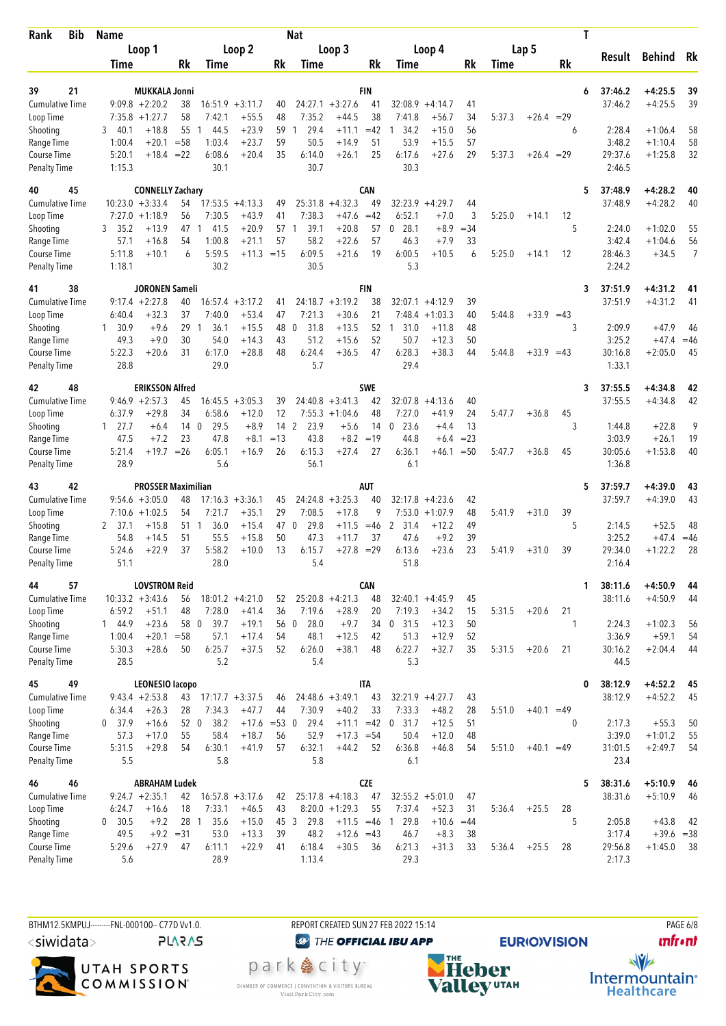| Bib<br>Rank                         |  | <b>Name</b>    |                                       |                       |                |                               |              | <b>Nat</b>           |                               |             |                          |                      |                 |        |              |    | Т |                   |                    |          |
|-------------------------------------|--|----------------|---------------------------------------|-----------------------|----------------|-------------------------------|--------------|----------------------|-------------------------------|-------------|--------------------------|----------------------|-----------------|--------|--------------|----|---|-------------------|--------------------|----------|
|                                     |  |                | Loop 1                                |                       |                | Loop <sub>2</sub>             |              |                      | Loop 3                        |             |                          | Loop 4               |                 |        | Lap 5        |    |   |                   |                    |          |
|                                     |  | Time           |                                       | Rk                    | Time           |                               | Rk           | Time                 |                               | Rk          | Time                     |                      | Rk              | Time   |              | Rk |   | Result            | Behind             | Rk       |
|                                     |  |                |                                       |                       |                |                               |              |                      |                               |             |                          |                      |                 |        |              |    |   |                   |                    |          |
| 21<br>39                            |  |                | <b>MUKKALA Jonni</b>                  |                       |                |                               |              |                      |                               | <b>FIN</b>  |                          |                      |                 |        |              |    | 6 | 37:46.2           | $+4:25.5$          | 39       |
| <b>Cumulative Time</b><br>Loop Time |  |                | $9:09.8 + 2:20.2$<br>$7:35.8$ +1:27.7 | 38<br>58              | 7:42.1         | $16:51.9 + 3:11.7$<br>$+55.5$ | 40<br>48     | 7:35.2               | $24:27.1 + 3:27.6$<br>$+44.5$ | 41<br>38    | 32:08.9<br>7:41.8        | $+4:14.7$<br>$+56.7$ | 41<br>34        | 5:37.3 | $+26.4 = 29$ |    |   | 37:46.2           | $+4:25.5$          | 39       |
| Shooting                            |  | 40.1<br>3      | $+18.8$                               | 55                    | 44.5<br>1      | $+23.9$                       | 59           | 29.4<br>1            | $+11.1$                       | $=42$       | 34.2                     | $+15.0$              | 56              |        |              | 6  |   | 2:28.4            | $+1:06.4$          | 58       |
| Range Time                          |  | 1:00.4         | $+20.1$                               | $= 58$                | 1:03.4         | $+23.7$                       | 59           | 50.5                 | $+14.9$                       | 51          | 53.9                     | $+15.5$              | 57              |        |              |    |   | 3:48.2            | $+1:10.4$          | 58       |
| Course Time                         |  | 5:20.1         | $+18.4$                               | $=22$                 | 6:08.6         | $+20.4$                       | 35           | 6:14.0               | $+26.1$                       | 25          | 6:17.6                   | $+27.6$              | 29              | 5:37.3 | $+26.4 = 29$ |    |   | 29:37.6           | $+1:25.8$          | 32       |
| <b>Penalty Time</b>                 |  | 1:15.3         |                                       |                       | 30.1           |                               |              | 30.7                 |                               |             | 30.3                     |                      |                 |        |              |    |   | 2:46.5            |                    |          |
| 45<br>40                            |  |                | <b>CONNELLY Zachary</b>               |                       |                |                               |              |                      |                               | <b>CAN</b>  |                          |                      |                 |        |              |    | 5 | 37:48.9           | $+4:28.2$          | 40       |
| <b>Cumulative Time</b>              |  |                | $10:23.0 + 3:33.4$                    | 54                    |                | $17:53.5 +4:13.3$             | 49           | 25:31.8              | $+4:32.3$                     | 49          |                          | $32:23.9 +4:29.7$    | 44              |        |              |    |   | 37:48.9           | $+4:28.2$          | 40       |
| Loop Time                           |  |                | $7:27.0 +1:18.9$                      | 56                    | 7:30.5         | $+43.9$                       | 41           | 7:38.3               | $+47.6$                       | $=42$       | 6:52.1                   | $+7.0$               | 3               | 5:25.0 | $+14.1$      | 12 |   |                   |                    |          |
| Shooting                            |  | 3, 35.2        | $+13.9$                               | 47                    | 41.5<br>1      | $+20.9$                       | 57           | 39.1<br>$\mathbf{1}$ | $+20.8$                       | 57          | $\boldsymbol{0}$<br>28.1 | $+8.9$               | $= 34$          |        |              | 5  |   | 2:24.0            | $+1:02.0$          | 55       |
| Range Time                          |  | 57.1           | $+16.8$                               | 54                    | 1:00.8         | $+21.1$                       | 57           | 58.2                 | $+22.6$                       | 57          | 46.3                     | $+7.9$               | 33              |        |              |    |   | 3:42.4            | $+1:04.6$          | 56       |
| Course Time                         |  | 5:11.8         | $+10.1$                               | 6                     | 5:59.5         | $+11.3 = 15$                  |              | 6:09.5               | $+21.6$                       | 19          | 6:00.5                   | $+10.5$              | 6               | 5:25.0 | $+14.1$      | 12 |   | 28:46.3           | $+34.5$            | 7        |
| <b>Penalty Time</b>                 |  | 1:18.1         |                                       |                       | 30.2           |                               |              | 30.5                 |                               |             | 5.3                      |                      |                 |        |              |    |   | 2:24.2            |                    |          |
| 38<br>41                            |  |                | JORONEN Sameli                        |                       |                |                               |              |                      |                               | FIN         |                          |                      |                 |        |              |    | 3 | 37:51.9           | $+4:31.2$          | 41       |
| <b>Cumulative Time</b>              |  |                | $9:17.4 + 2:27.8$                     | 40                    | 16:57.4        | $+3:17.2$                     | 41           |                      | $24:18.7 + 3:19.2$            | 38          | 32:07.1                  | $+4:12.9$            | 39              |        |              |    |   | 37:51.9           | $+4:31.2$          | 41       |
| Loop Time                           |  | 6:40.4         | $+32.3$                               | 37                    | 7:40.0         | $+53.4$                       | 47           | 7:21.3               | $+30.6$                       | 21          | 7:48.4                   | $+1:03.3$            | 40              | 5:44.8 | $+33.9 = 43$ |    |   |                   |                    |          |
| Shooting                            |  | 1, 30.9        | $+9.6$                                | 29                    | 36.1<br>-1     | $+15.5$                       | 48           | 31.8<br>0            | $+13.5$                       | 52          | 31.0<br>1                | $+11.8$              | 48              |        |              | 3  |   | 2:09.9            | $+47.9$            | 46       |
| Range Time                          |  | 49.3           | $+9.0$                                | 30                    | 54.0           | $+14.3$                       | 43           | 51.2                 | $+15.6$                       | 52          | 50.7                     | $+12.3$              | 50              |        |              |    |   | 3:25.2            | $+47.4$            | $=46$    |
| Course Time                         |  | 5:22.3         | $+20.6$                               | 31                    | 6:17.0         | $+28.8$                       | 48           | 6:24.4               | $+36.5$                       | 47          | 6:28.3                   | $+38.3$              | 44              | 5:44.8 | $+33.9 = 43$ |    |   | 30:16.8           | $+2:05.0$          | 45       |
| <b>Penalty Time</b>                 |  | 28.8           |                                       |                       | 29.0           |                               |              | 5.7                  |                               |             | 29.4                     |                      |                 |        |              |    |   | 1:33.1            |                    |          |
| 48<br>42                            |  |                | <b>ERIKSSON Alfred</b>                |                       |                |                               |              |                      |                               | <b>SWE</b>  |                          |                      |                 |        |              |    | 3 | 37:55.5           | $+4:34.8$          | 42       |
| <b>Cumulative Time</b>              |  |                | $9:46.9 + 2:57.3$                     | 45                    |                | $16:45.5 + 3:05.3$            | 39           |                      | $24:40.8 + 3:41.3$            | 42          |                          | $32:07.8 + 4:13.6$   | 40              |        |              |    |   | 37:55.5           | $+4:34.8$          | 42       |
| Loop Time                           |  | 6:37.9         | $+29.8$                               | 34                    | 6:58.6         | $+12.0$                       | 12           |                      | $7:55.3 +1:04.6$              | 48          | 7:27.0                   | $+41.9$              | 24              | 5:47.7 | $+36.8$      | 45 |   |                   |                    |          |
| Shooting                            |  | $1 \quad 27.7$ | $+6.4$                                | 14 <sub>0</sub><br>23 | 29.5           | $+8.9$                        | $14 \quad 2$ | 23.9                 | $+5.6$<br>$+8.2$              | 14          | 23.6<br>$\mathbf{0}$     | $+4.4$               | 13              |        |              | 3  |   | 1:44.8<br>3:03.9  | $+22.8$<br>$+26.1$ | 9        |
| Range Time<br>Course Time           |  | 47.5<br>5:21.4 | $+7.2$<br>+19.7                       | $=26$                 | 47.8<br>6:05.1 | $+8.1$<br>$+16.9$             | $=13$<br>26  | 43.8<br>6:15.3       | $+27.4$                       | $=19$<br>27 | 44.8<br>6:36.1           | $+6.4$<br>$+46.1$    | $= 23$<br>$=50$ | 5:47.7 | $+36.8$      | 45 |   | 30:05.6           | $+1:53.8$          | 19<br>40 |
| <b>Penalty Time</b>                 |  | 28.9           |                                       |                       | 5.6            |                               |              | 56.1                 |                               |             | 6.1                      |                      |                 |        |              |    |   | 1:36.8            |                    |          |
| 42<br>43                            |  |                | <b>PROSSER Maximilian</b>             |                       |                |                               |              |                      |                               | <b>AUT</b>  |                          |                      |                 |        |              |    | 5 | 37:59.7           | $+4:39.0$          |          |
| <b>Cumulative Time</b>              |  |                | $9:54.6 + 3:05.0$                     | 48                    |                | $17:16.3 + 3:36.1$            | 45           | 24:24.8              | $+3:25.3$                     | 40          | 32:17.8                  | $+4:23.6$            | 42              |        |              |    |   | 37:59.7           | $+4:39.0$          | 43<br>43 |
| Loop Time                           |  |                | $7:10.6 + 1:02.5$                     | 54                    | 7:21.7         | $+35.1$                       | 29           | 7:08.5               | $+17.8$                       | 9           | 7:53.0                   | $+1:07.9$            | 48              | 5:41.9 | $+31.0$      | 39 |   |                   |                    |          |
| Shooting                            |  | -37.1<br>2     | $+15.8$                               | 51 1                  | 36.0           | $+15.4$                       | 47           | 29.8<br>$\mathbf 0$  | $+11.5$                       | $=46$       | $\overline{2}$<br>31.4   | $+12.2$              | 49              |        |              | 5  |   | 2:14.5            | $+52.5$            | 48       |
| Range Time                          |  | 54.8           | $+14.5$                               | 51                    | 55.5           | $+15.8$                       | 50           | 47.3                 | $+11.7$                       | 37          | 47.6                     | $+9.2$               | 39              |        |              |    |   | 3:25.2            | $+47.4$            | $=46$    |
| Course Time                         |  | 5:24.6         | $+22.9$                               | 37                    | 5:58.2         | $+10.0$                       | 13           | 6:15.7               | $+27.8$                       | $=29$       | 6:13.6                   | $+23.6$              | 23              | 5:41.9 | $+31.0$      | 39 |   | 29:34.0           | $+1:22.2$          | 28       |
| <b>Penalty Time</b>                 |  | 51.1           |                                       |                       | 28.0           |                               |              | 5.4                  |                               |             | 51.8                     |                      |                 |        |              |    |   | 2:16.4            |                    |          |
| 44<br>57                            |  |                | <b>LOVSTROM Reid</b>                  |                       |                |                               |              |                      |                               | CAN         |                          |                      |                 |        |              |    | 1 | 38:11.6           | $+4:50.9$          | 44       |
| Cumulative Time                     |  |                | $10:33.2 + 3:43.6$                    | 56                    |                | $18:01.2 +4:21.0$             | 52           |                      | $25:20.8 +4:21.3$             | 48          |                          | $32:40.1 +4:45.9$    | 45              |        |              |    |   | 38:11.6           | $+4:50.9$          | 44       |
| Loop Time                           |  | 6:59.2         | $+51.1$                               | 48                    | 7:28.0         | $+41.4$                       | 36           | 7:19.6               | $+28.9$                       | 20          | 7:19.3                   | $+34.2$              | 15              | 5:31.5 | $+20.6$      | 21 |   |                   |                    |          |
| Shooting                            |  | 1 44.9         | $+23.6$                               | 58 0                  | 39.7           | $+19.1$                       | 56 0         | 28.0                 | $+9.7$                        |             | 34 0 31.5                | $+12.3$              | 50              |        |              | 1  |   | 2:24.3            | $+1:02.3$          | 56       |
| Range Time                          |  | 1:00.4         | $+20.1$                               | $= 58$                | 57.1           | $+17.4$                       | 54           | 48.1                 | $+12.5$                       | 42          | 51.3                     | $+12.9$              | 52              |        |              |    |   | 3:36.9            | $+59.1$            | 54       |
| Course Time                         |  | 5:30.3         | $+28.6$                               | 50                    | 6:25.7         | $+37.5$                       | 52           | 6:26.0               | $+38.1$                       | 48          | 6:22.7                   | $+32.7$              | 35              | 5:31.5 | $+20.6$      | 21 |   | 30:16.2           | $+2:04.4$          | 44       |
| <b>Penalty Time</b>                 |  | 28.5           |                                       |                       | 5.2            |                               |              | 5.4                  |                               |             | 5.3                      |                      |                 |        |              |    |   | 44.5              |                    |          |
| 49<br>45                            |  |                | <b>LEONESIO lacopo</b>                |                       |                |                               |              |                      |                               | ITA         |                          |                      |                 |        |              |    | 0 | 38:12.9           | $+4:52.2$          | 45       |
| <b>Cumulative Time</b>              |  |                | $9:43.4 +2:53.8$                      | 43                    |                | $17:17.7 + 3:37.5$            | 46           |                      | $24:48.6 + 3:49.1$            | 43          | $32:21.9 +4:27.7$        |                      | 43              |        |              |    |   | 38:12.9           | $+4:52.2$          | 45       |
| Loop Time                           |  | 6:34.4         | $+26.3$                               | 28                    | 7:34.3         | $+47.7$                       | 44           | 7:30.9               | $+40.2$                       | 33          | 7:33.3                   | $+48.2$              | 28              | 5:51.0 | $+40.1 = 49$ |    |   |                   |                    |          |
| Shooting                            |  | 0, 37.9        | $+16.6$                               | 52 0                  | 38.2           | $+17.6 = 53$ 0                |              | 29.4                 | $+11.1 = 42$                  |             | 31.7<br>0                | $+12.5$              | 51              |        |              | 0  |   | 2:17.3            | $+55.3$            | 50       |
| Range Time<br>Course Time           |  | 57.3<br>5:31.5 | $+17.0$<br>$+29.8$                    | 55<br>54              | 58.4           | $+18.7$<br>$+41.9$            | 56           | 52.9                 | $+17.3 = 54$                  | 52          | 50.4<br>6:36.8           | $+12.0$<br>$+46.8$   | 48<br>54        | 5:51.0 |              |    |   | 3:39.0<br>31:01.5 | $+1:01.2$          | 55<br>54 |
| <b>Penalty Time</b>                 |  | 5.5            |                                       |                       | 6:30.1<br>5.8  |                               | 57           | 6:32.1<br>5.8        | $+44.2$                       |             | 6.1                      |                      |                 |        | $+40.1 = 49$ |    |   | 23.4              | $+2:49.7$          |          |
| 46<br>46                            |  |                | <b>ABRAHAM Ludek</b>                  |                       |                |                               |              |                      |                               | <b>CZE</b>  |                          |                      |                 |        |              |    | 5 | 38:31.6           | $+5:10.9$          | 46       |
| Cumulative Time                     |  |                | $9:24.7 +2:35.1$                      | 42                    |                | $16:57.8 + 3:17.6$            | 42           |                      | $25:17.8 +4:18.3$             | 47          |                          | $32:55.2 + 5:01.0$   | 47              |        |              |    |   | 38:31.6           | $+5:10.9$          | 46       |
| Loop Time                           |  | 6:24.7         | $+16.6$                               | 18                    | 7:33.1         | $+46.5$                       | 43           |                      | $8:20.0 +1:29.3$              | 55          | 7:37.4                   | $+52.3$              | 31              | 5:36.4 | $+25.5$      | 28 |   |                   |                    |          |
| Shooting                            |  | 0 30.5         | $+9.2$                                | 28 1                  | 35.6           | $+15.0$                       |              | 29.8<br>45 3         | $+11.5 = 46$                  |             | 1 29.8                   | $+10.6$              | $=44$           |        |              | 5  |   | 2:05.8            | $+43.8$            | 42       |
| Range Time                          |  | 49.5           | $+9.2 = 31$                           |                       | 53.0           | $+13.3$                       | 39           | 48.2                 | $+12.6 = 43$                  |             | 46.7                     | $+8.3$               | 38              |        |              |    |   | 3:17.4            | $+39.6 = 38$       |          |
| Course Time                         |  | 5:29.6         | $+27.9$                               | 47                    | 6:11.1         | $+22.9$                       | 41           | 6:18.4               | $+30.5$                       | 36          | 6:21.3                   | $+31.3$              | 33              | 5:36.4 | $+25.5$      | 28 |   | 29:56.8           | $+1:45.0$          | - 38     |
| <b>Penalty Time</b>                 |  | 5.6            |                                       |                       | 28.9           |                               |              | 1:13.4               |                               |             | 29.3                     |                      |                 |        |              |    |   | 2:17.3            |                    |          |
|                                     |  |                |                                       |                       |                |                               |              |                      |                               |             |                          |                      |                 |        |              |    |   |                   |                    |          |

BTHM12.5KMPUJ--------FNL-000100-- C77D Vv1.0. REPORT CREATED SUN 27 FEB 2022 15:14 PAGE 6/8 <siwidata>

**PLARAS** 



**@** THE OFFICIAL IBU APP

park e city<sup>®</sup> CHAMBER OF COMMERCE | CONVENTION & VISITORS BUREAU<br>Visit Park City.com



**unfront**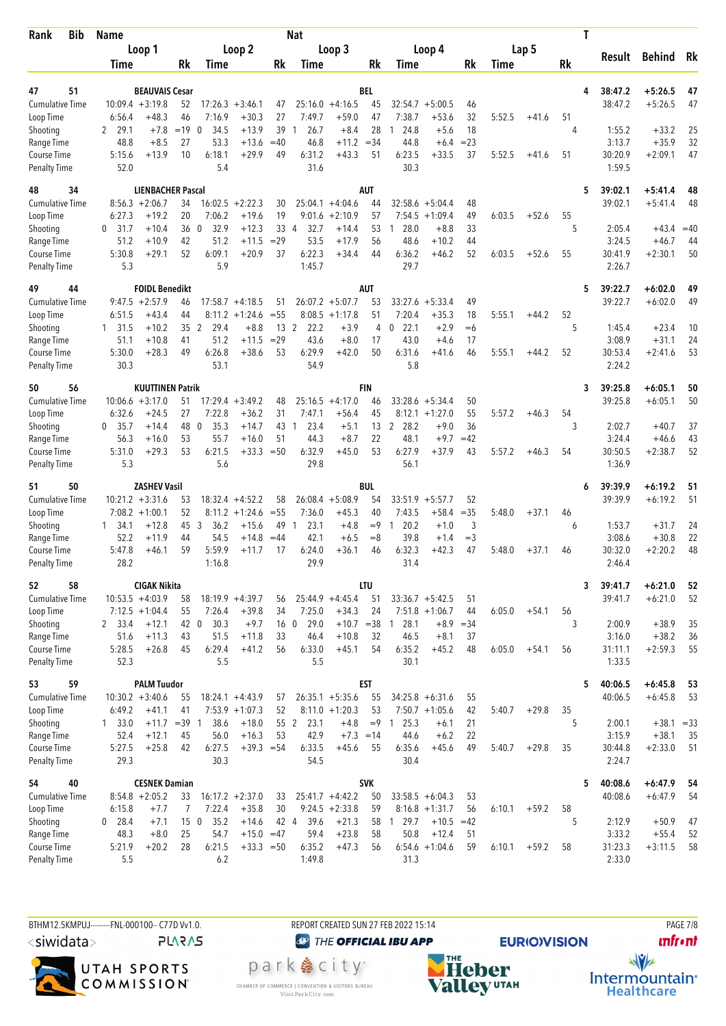| <b>Bib</b><br>Rank                 | <b>Name</b>              |                                             |                 |                        |                             |                          | <b>Nat</b>                     |                            |              |                        |                            |             |        |         | T       |                    |                        |          |
|------------------------------------|--------------------------|---------------------------------------------|-----------------|------------------------|-----------------------------|--------------------------|--------------------------------|----------------------------|--------------|------------------------|----------------------------|-------------|--------|---------|---------|--------------------|------------------------|----------|
|                                    |                          | Loop 1                                      |                 |                        | Loop <sub>2</sub>           |                          |                                | Loop 3                     |              |                        | Loop 4                     |             |        | Lap 5   |         |                    |                        |          |
|                                    | Time                     |                                             | Rk              | Time                   |                             | Rk                       | Time                           |                            | Rk           | Time                   |                            | Rk          | Time   |         | Rk      | Result             | <b>Behind</b>          | Rk       |
|                                    |                          |                                             |                 |                        |                             |                          |                                |                            |              |                        |                            |             |        |         |         |                    |                        |          |
| 51<br>47<br><b>Cumulative Time</b> |                          | <b>BEAUVAIS Cesar</b><br>$10:09.4 + 3:19.8$ | 52              | 17:26.3                | $+3:46.1$                   |                          |                                | $25:16.0 +4:16.5$          | BEL<br>45    | 32:54.7                | $+5:00.5$                  |             |        |         | 4       | 38:47.2<br>38:47.2 | $+5:26.5$<br>$+5:26.5$ | 47<br>47 |
| Loop Time                          | 6:56.4                   | $+48.3$                                     | 46              | 7:16.9                 | $+30.3$                     | 47<br>27                 | 7:49.7                         | $+59.0$                    | 47           | 7:38.7                 | $+53.6$                    | 46<br>32    | 5:52.5 | $+41.6$ | 51      |                    |                        |          |
| Shooting                           | 2 29.1                   | $+7.8$                                      | $=19$           | 34.5<br>$\mathbf 0$    | $+13.9$                     | 39                       | 26.7<br>1                      | $+8.4$                     | 28           | 24.8                   | $+5.6$                     | 18          |        |         | 4       | 1:55.2             | $+33.2$                | 25       |
| Range Time                         | 48.8                     | $+8.5$                                      | 27              | 53.3                   | $+13.6$                     | $=40$                    | 46.8                           | $+11.2$                    | $=34$        | 44.8                   | $+6.4$                     | $= 23$      |        |         |         | 3:13.7             | $+35.9$                | 32       |
| Course Time                        | 5:15.6                   | $+13.9$                                     | 10              | 6:18.1                 | $+29.9$                     | 49                       | 6:31.2                         | $+43.3$                    | 51           | 6:23.5                 | $+33.5$                    | 37          | 5:52.5 | $+41.6$ | 51      | 30:20.9            | $+2:09.1$              | 47       |
| <b>Penalty Time</b>                | 52.0                     |                                             |                 | 5.4                    |                             |                          | 31.6                           |                            |              | 30.3                   |                            |             |        |         |         | 1:59.5             |                        |          |
| 48<br>34                           |                          | <b>LIENBACHER Pascal</b>                    |                 |                        |                             |                          |                                |                            | <b>AUT</b>   |                        |                            |             |        |         | 5       | 39:02.1            | $+5:41.4$              | 48       |
| <b>Cumulative Time</b>             |                          | $8:56.3 +2:06.7$                            | 34              | 16:02.5                | $+2:22.3$                   | 30                       |                                | $25:04.1 + 4:04.6$         | 44           |                        | $32:58.6 + 5:04.4$         | 48          |        |         |         | 39:02.1            | $+5:41.4$              | 48       |
| Loop Time                          | 6:27.3                   | $+19.2$                                     | 20              | 7:06.2                 | $+19.6$                     | 19                       |                                | $9:01.6 +2:10.9$           | 57           | 7:54.5                 | $+1:09.4$                  | 49          | 6:03.5 | $+52.6$ | 55      |                    |                        |          |
| Shooting                           | $0$ 31.7                 | $+10.4$                                     | 36              | $\overline{0}$<br>32.9 | $+12.3$                     | 33 4                     | 32.7                           | $+14.4$                    | 53           | 28.0<br>1              | $+8.8$                     | 33          |        |         | 5       | 2:05.4             | $+43.4 = 40$           |          |
| Range Time                         | 51.2                     | $+10.9$                                     | 42              | 51.2                   | $+11.5$                     | $=29$                    | 53.5                           | $+17.9$                    | 56           | 48.6                   | $+10.2$                    | 44          |        |         |         | 3:24.5             | $+46.7$                | 44       |
| Course Time                        | 5:30.8                   | $+29.1$                                     | 52              | 6:09.1                 | $+20.9$                     | 37                       | 6:22.3                         | $+34.4$                    | 44           | 6:36.2                 | $+46.2$                    | 52          | 6:03.5 | $+52.6$ | 55      | 30:41.9            | $+2:30.1$              | 50       |
| <b>Penalty Time</b>                | 5.3                      |                                             |                 | 5.9                    |                             |                          | 1:45.7                         |                            |              | 29.7                   |                            |             |        |         |         | 2:26.7             |                        |          |
| 49<br>44                           |                          | <b>FOIDL Benedikt</b>                       |                 |                        |                             |                          |                                |                            | <b>AUT</b>   |                        |                            |             |        |         | 5       | 39:22.7            | $+6:02.0$              | 49       |
| <b>Cumulative Time</b>             |                          | $9:47.5 + 2:57.9$                           | 46              | 17:58.7                | $+4:18.5$                   | 51                       |                                | $26:07.2 + 5:07.7$         | 53           | 33:27.6                | $+5:33.4$                  | 49          |        |         |         | 39:22.7            | $+6:02.0$              | 49       |
| Loop Time                          | 6:51.5                   | $+43.4$                                     | 44              | 8:11.2                 | $+1:24.6$                   | $= 55$                   |                                | $8:08.5 +1:17.8$           | 51           | 7:20.4                 | $+35.3$                    | 18          | 5:55.1 | $+44.2$ | 52      |                    |                        |          |
| Shooting<br>Range Time             | 1 31.5<br>51.1           | $+10.2$<br>$+10.8$                          | 35<br>41        | 2<br>29.4<br>51.2      | $+8.8$<br>$+11.5$           | 13 <sup>2</sup><br>$=29$ | 22.2<br>43.6                   | $+3.9$<br>$+8.0$           | 4<br>17      | 22.1<br>0<br>43.0      | $+2.9$<br>$+4.6$           | $= 6$<br>17 |        |         | 5       | 1:45.4<br>3:08.9   | $+23.4$<br>$+31.1$     | 10<br>24 |
| Course Time                        | 5:30.0                   | $+28.3$                                     | 49              | 6:26.8                 | $+38.6$                     | 53                       | 6:29.9                         | $+42.0$                    | 50           | 6:31.6                 | $+41.6$                    | 46          | 5:55.1 | $+44.2$ | 52      | 30:53.4            | $+2:41.6$              | 53       |
| <b>Penalty Time</b>                | 30.3                     |                                             |                 | 53.1                   |                             |                          | 54.9                           |                            |              | 5.8                    |                            |             |        |         |         | 2:24.2             |                        |          |
| 56<br>50                           |                          | <b>KUUTTINEN Patrik</b>                     |                 |                        |                             |                          |                                |                            | <b>FIN</b>   |                        |                            |             |        |         | 3       | 39:25.8            | $+6:05.1$              | 50       |
| <b>Cumulative Time</b>             |                          | $10:06.6 + 3:17.0$                          | 51              |                        | $17:29.4 + 3:49.2$          | 48                       |                                | $25:16.5 + 4:17.0$         | 46           |                        | $33:28.6 + 5:34.4$         | 50          |        |         |         | 39:25.8            | $+6:05.1$              | 50       |
| Loop Time                          | 6:32.6                   | $+24.5$                                     | 27              | 7:22.8                 | $+36.2$                     | 31                       | 7:47.1                         | $+56.4$                    | 45           |                        | $8:12.1 + 1:27.0$          | 55          | 5:57.2 | $+46.3$ | 54      |                    |                        |          |
| Shooting                           | $0$ 35.7                 | $+14.4$                                     | 48              | 35.3<br>$\overline{0}$ | $+14.7$                     | 43                       | 23.4<br>$\mathbf{1}$           | $+5.1$                     | 13           | 2<br>28.2              | $+9.0$                     | 36          |        |         | 3       | 2:02.7             | $+40.7$                | 37       |
| Range Time                         | 56.3                     | $+16.0$                                     | 53              | 55.7                   | $+16.0$                     | 51                       | 44.3                           | $+8.7$                     | 22           | 48.1                   | $+9.7$                     | $=42$       |        |         |         | 3:24.4             | $+46.6$                | 43       |
| Course Time                        | 5:31.0                   | $+29.3$                                     | 53              | 6:21.5                 | $+33.3$                     | $= 50$                   | 6:32.9                         | $+45.0$                    | 53           | 6:27.9                 | +37.9                      | 43          | 5:57.2 | $+46.3$ | 54      | 30:50.5            | $+2:38.7$              | 52       |
| <b>Penalty Time</b>                | 5.3                      |                                             |                 | 5.6                    |                             |                          | 29.8                           |                            |              | 56.1                   |                            |             |        |         |         | 1:36.9             |                        |          |
| 50<br>51                           |                          | <b>ZASHEV Vasil</b>                         |                 |                        |                             |                          |                                |                            | <b>BUL</b>   |                        |                            |             |        |         | 6       | 39:39.9            | $+6:19.2$              | 51       |
| <b>Cumulative Time</b>             |                          | $10:21.2 + 3:31.6$                          | 53              |                        | $18:32.4 +4:52.2$           | 58                       |                                | $26:08.4 + 5:08.9$         | 54           | 33:51.9                | $+5:57.7$                  | 52          |        |         |         | 39:39.9            | $+6:19.2$              | 51       |
| Loop Time                          |                          | $7:08.2 +1:00.1$                            | 52              | 8:11.2                 | $+1:24.6$                   | $=55$                    | 7:36.0                         | $+45.3$                    | 40           | 7:43.5                 | $+58.4$                    | $=35$       | 5:48.0 | $+37.1$ | 46      |                    |                        |          |
| Shooting<br>Range Time             | $1 \quad 34.1$<br>52.2   | $+12.8$<br>$+11.9$                          | 45<br>44        | 3<br>36.2<br>54.5      | $+15.6$<br>$+14.8$          | 49<br>$=44$              | 23.1<br>$\overline{1}$<br>42.1 | $+4.8$<br>$+6.5$           | $=9$<br>$=8$ | 20.2<br>-1<br>39.8     | $+1.0$<br>$+1.4$           | 3<br>$=$ 3  |        |         | 6       | 1:53.7<br>3:08.6   | $+31.7$<br>$+30.8$     | 24<br>22 |
| Course Time                        | 5:47.8                   | +46.1                                       | 59              | 5:59.9                 | $+11.7$                     | 17                       | 6:24.0                         | $+36.1$                    | 46           | 6:32.3                 | $+42.3$                    | 47          | 5:48.0 | $+37.1$ | 46      | 30:32.0            | $+2:20.2$              | 48       |
| <b>Penalty Time</b>                | 28.2                     |                                             |                 | 1:16.8                 |                             |                          | 29.9                           |                            |              | 31.4                   |                            |             |        |         |         | 2:46.4             |                        |          |
| 58<br>52                           |                          | <b>CIGAK Nikita</b>                         |                 |                        |                             |                          |                                |                            | LTU          |                        |                            |             |        |         | 3       | 39:41.7            | $+6:21.0$              | 52       |
| <b>Cumulative Time</b>             |                          | $10:53.5 + 4:03.9$                          | 58              |                        | $18:19.9 + 4:39.7$          | 56                       |                                | $25:44.9 +4:45.4$          | 51           |                        | $33:36.7 + 5:42.5$         | 51          |        |         |         | 39:41.7            | $+6:21.0$              | 52       |
| Loop Time                          |                          | $7:12.5 + 1:04.4$                           | 55              | 7:26.4                 | $+39.8$                     | 34                       | 7:25.0                         | $+34.3$                    | 24           |                        | $7:51.8 +1:06.7$           | 44          | 6:05.0 | $+54.1$ | 56      |                    |                        |          |
| Shooting                           | 2 33.4                   | $+12.1$                                     | 42 0            | 30.3                   | $+9.7$                      |                          | 16 0<br>29.0                   | $+10.7 = 38$               |              | 128.1                  | $+8.9$                     | $=34$       |        |         | 3       | 2:00.9             | $+38.9$                | 35       |
| Range Time                         | 51.6                     | $+11.3$                                     | 43              | 51.5                   | $+11.8$                     | 33                       | 46.4                           | $+10.8$                    | 32           | 46.5                   | $+8.1$                     | 37          |        |         |         | 3:16.0             | $+38.2$                | 36       |
| Course Time                        | 5:28.5                   | $+26.8$                                     | 45              | 6:29.4                 | $+41.2$                     | 56                       | 6:33.0                         | $+45.1$                    | 54           | 6:35.2                 | $+45.2$                    | 48          | 6:05.0 | $+54.1$ | 56      | 31:11.1            | $+2:59.3$              | 55       |
| <b>Penalty Time</b>                | 52.3                     |                                             |                 | 5.5                    |                             |                          | 5.5                            |                            |              | 30.1                   |                            |             |        |         |         | 1:33.5             |                        |          |
| 59<br>53                           |                          | <b>PALM Tuudor</b>                          |                 |                        |                             |                          |                                |                            | <b>EST</b>   |                        |                            |             |        |         | 5       | 40:06.5            | $+6:45.8$              | 53       |
| <b>Cumulative Time</b>             |                          | $10:30.2 + 3:40.6$                          | 55              |                        | $18:24.1 + 4:43.9$          | 57                       |                                | $26:35.1 + 5:35.6$         | 55           |                        | $34:25.8 + 6:31.6$         | 55          |        |         |         | 40:06.5            | $+6:45.8$              | 53       |
| Loop Time<br>Shooting              | 6:49.2<br>$1 \quad 33.0$ | $+41.1$<br>$+11.7 = 39$ 1                   | 41              | 38.6                   | $7:53.9 +1:07.3$<br>$+18.0$ | 52                       | 55 2<br>23.1                   | $8:11.0 +1:20.3$<br>$+4.8$ | 53<br>$=9$   | 25.3<br>$\overline{1}$ | $7:50.7 +1:05.6$<br>$+6.1$ | 42<br>21    | 5:40.7 | $+29.8$ | 35<br>5 | 2:00.1             | $+38.1 = 33$           |          |
| Range Time                         | 52.4                     | $+12.1$                                     | 45              | 56.0                   | $+16.3$                     | 53                       | 42.9                           | $+7.3 = 14$                |              | 44.6                   | $+6.2$                     | 22          |        |         |         | 3:15.9             | $+38.1$                | 35       |
| Course Time                        | 5:27.5                   | $+25.8$                                     | 42              | 6:27.5                 | $+39.3 = 54$                |                          | 6:33.5                         | $+45.6$                    | 55           | 6:35.6                 | $+45.6$                    | 49          | 5:40.7 | $+29.8$ | 35      | 30:44.8            | $+2:33.0$              | 51       |
| <b>Penalty Time</b>                | 29.3                     |                                             |                 | 30.3                   |                             |                          | 54.5                           |                            |              | 30.4                   |                            |             |        |         |         | 2:24.7             |                        |          |
| 40<br>54                           |                          | <b>CESNEK Damian</b>                        |                 |                        |                             |                          |                                |                            | <b>SVK</b>   |                        |                            |             |        |         | 5       | 40:08.6            | $+6:47.9$              | 54       |
| <b>Cumulative Time</b>             |                          | $8:54.8 + 2:05.2$                           | 33              |                        | $16:17.2 + 2:37.0$          | 33                       |                                | $25:41.7 +4:42.2$          | 50           |                        | $33:58.5 + 6:04.3$         | 53          |        |         |         | 40:08.6            | $+6:47.9$              | 54       |
| Loop Time                          | 6:15.8                   | $+7.7$                                      | 7               | 7:22.4                 | $+35.8$                     | 30                       |                                | $9:24.5 +2:33.8$           | 59           |                        | $8:16.8 + 1:31.7$          | 56          | 6:10.1 | $+59.2$ | 58      |                    |                        |          |
| Shooting                           | $0$ 28.4                 | $+7.1$                                      | 15 <sub>0</sub> | 35.2                   | $+14.6$                     | 42 4                     | 39.6                           | $+21.3$                    | 58           | 129.7                  | $+10.5$                    | $=42$       |        |         | 5       | 2:12.9             | $+50.9$                | 47       |
| Range Time                         | 48.3                     | $+8.0$                                      | 25              | 54.7                   | $+15.0 = 47$                |                          | 59.4                           | $+23.8$                    | 58           | 50.8                   | $+12.4$                    | 51          |        |         |         | 3:33.2             | $+55.4$                | 52       |
| Course Time                        | 5:21.9                   | $+20.2$                                     | 28              | 6:21.5                 | $+33.3 = 50$                |                          | 6:35.2                         | $+47.3$                    | 56           |                        | $6:54.6 +1:04.6$           | 59          | 6:10.1 | $+59.2$ | 58      | 31:23.3            | $+3:11.5$              | 58       |
| <b>Penalty Time</b>                | 5.5                      |                                             |                 | 6.2                    |                             |                          | 1:49.8                         |                            |              | 31.3                   |                            |             |        |         |         | 2:33.0             |                        |          |

BTHM12.5KMPUJ--------FNL-000100-- C77D Vv1.0. REPORT CREATED SUN 27 FEB 2022 15:14 PAGE 7/8 <siwidata>

**PLARAS** 



**@** THE OFFICIAL IBU APP

park e city<sup>®</sup> CHAMBER OF COMMERCE | CONVENTION & VISITORS BUREAU<br>Visit Park City.com



**EURIO)VISION** 

**unfront**